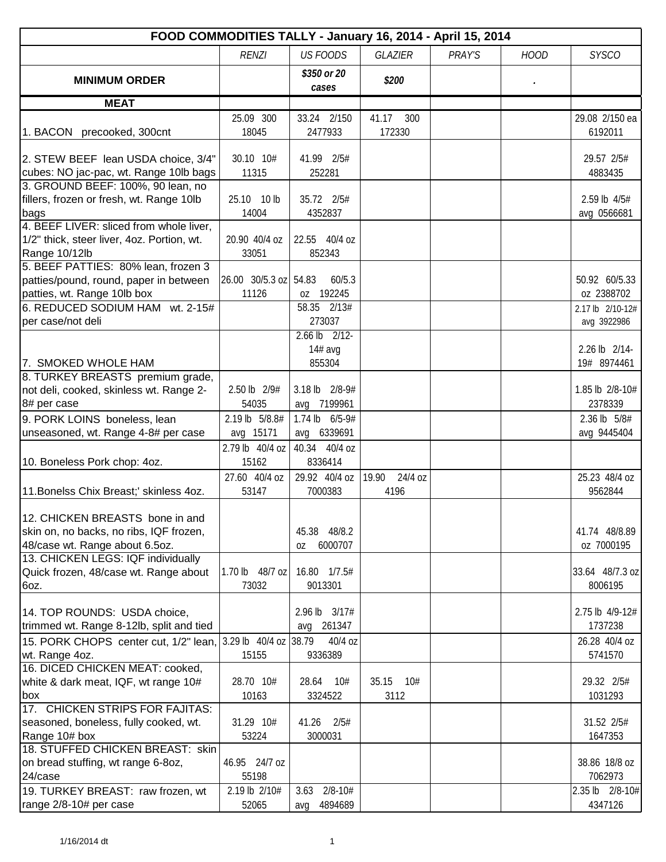| FOOD COMMODITIES TALLY - January 16, 2014 - April 15, 2014 |                       |                      |                  |        |             |                  |  |  |
|------------------------------------------------------------|-----------------------|----------------------|------------------|--------|-------------|------------------|--|--|
|                                                            | <b>RENZI</b>          | <b>US FOODS</b>      | <b>GLAZIER</b>   | PRAY'S | <b>HOOD</b> | <b>SYSCO</b>     |  |  |
| <b>MINIMUM ORDER</b>                                       |                       | \$350 or 20<br>cases | \$200            |        |             |                  |  |  |
| <b>MEAT</b>                                                |                       |                      |                  |        |             |                  |  |  |
|                                                            | 25.09 300             | 33.24 2/150          | 41.17<br>300     |        |             | 29.08 2/150 ea   |  |  |
| 1. BACON precooked, 300cnt                                 | 18045                 | 2477933              | 172330           |        |             | 6192011          |  |  |
| 2. STEW BEEF lean USDA choice, 3/4"                        | 30.10 10#             | 41.99 2/5#           |                  |        |             | 29.57 2/5#       |  |  |
| cubes: NO jac-pac, wt. Range 10lb bags                     | 11315                 | 252281               |                  |        |             | 4883435          |  |  |
| 3. GROUND BEEF: 100%, 90 lean, no                          |                       |                      |                  |        |             |                  |  |  |
| fillers, frozen or fresh, wt. Range 10lb                   | 10 lb<br>25.10        | 35.72 2/5#           |                  |        |             | 2.59 lb 4/5#     |  |  |
| bags                                                       | 14004                 | 4352837              |                  |        |             | avg 0566681      |  |  |
| 4. BEEF LIVER: sliced from whole liver,                    |                       |                      |                  |        |             |                  |  |  |
| 1/2" thick, steer liver, 4oz. Portion, wt.                 | 20.90 40/4 oz         | 22.55 40/4 oz        |                  |        |             |                  |  |  |
| Range 10/12lb                                              | 33051                 | 852343               |                  |        |             |                  |  |  |
| 5. BEEF PATTIES: 80% lean, frozen 3                        |                       |                      |                  |        |             |                  |  |  |
| patties/pound, round, paper in between                     | 26.00 30/5.3 oz 54.83 | 60/5.3               |                  |        |             | 50.92 60/5.33    |  |  |
| patties, wt. Range 10lb box                                | 11126                 | oz 192245            |                  |        |             | oz 2388702       |  |  |
| 6. REDUCED SODIUM HAM wt. 2-15#                            |                       | 58.35 2/13#          |                  |        |             | 2.17 lb 2/10-12# |  |  |
| per case/not deli                                          |                       | 273037               |                  |        |             | avg 3922986      |  |  |
|                                                            |                       | $2.66$ lb $2/12$     |                  |        |             |                  |  |  |
|                                                            |                       | $14#$ avg            |                  |        |             | 2.26 lb 2/14-    |  |  |
| 7. SMOKED WHOLE HAM<br>8. TURKEY BREASTS premium grade,    |                       | 855304               |                  |        |             | 19# 8974461      |  |  |
| not deli, cooked, skinless wt. Range 2-                    | 2.50 lb 2/9#          | 3.18 lb 2/8-9#       |                  |        |             | 1.85 lb 2/8-10#  |  |  |
| 8# per case                                                | 54035                 | 7199961<br>avg       |                  |        |             | 2378339          |  |  |
|                                                            | 2.19 lb 5/8.8#        | 1.74 lb 6/5-9#       |                  |        |             | 2.36 lb 5/8#     |  |  |
| 9. PORK LOINS boneless, lean                               |                       | avg 6339691          |                  |        |             |                  |  |  |
| unseasoned, wt. Range 4-8# per case                        | avg 15171             |                      |                  |        |             | avg 9445404      |  |  |
|                                                            | 2.79 lb 40/4 oz       | 40.34 40/4 oz        |                  |        |             |                  |  |  |
| 10. Boneless Pork chop: 4oz.                               | 15162                 | 8336414              |                  |        |             |                  |  |  |
|                                                            | 27.60 40/4 oz         | 29.92 40/4 oz        | 19.90<br>24/4 oz |        |             | 25.23 48/4 oz    |  |  |
| 11. Bonelss Chix Breast;' skinless 4oz.                    | 53147                 | 7000383              | 4196             |        |             | 9562844          |  |  |
| 12. CHICKEN BREASTS bone in and                            |                       |                      |                  |        |             |                  |  |  |
| skin on, no backs, no ribs, IQF frozen,                    |                       | 45.38 48/8.2         |                  |        |             | 41.74 48/8.89    |  |  |
| 48/case wt. Range about 6.5oz.                             |                       | 6000707<br>0Z        |                  |        |             | oz 7000195       |  |  |
| 13. CHICKEN LEGS: IQF individually                         |                       |                      |                  |        |             |                  |  |  |
| Quick frozen, 48/case wt. Range about                      | 1.70 lb 48/7 oz       | 16.80 1/7.5#         |                  |        |             | 33.64 48/7.3 oz  |  |  |
| 6oz.                                                       | 73032                 | 9013301              |                  |        |             | 8006195          |  |  |
|                                                            |                       |                      |                  |        |             |                  |  |  |
| 14. TOP ROUNDS: USDA choice,                               |                       | 2.96 lb 3/17#        |                  |        |             | 2.75 lb 4/9-12#  |  |  |
| trimmed wt. Range 8-12lb, split and tied                   |                       | 261347<br>avg        |                  |        |             | 1737238          |  |  |
| 15. PORK CHOPS center cut, 1/2" lean,                      | 3.29 lb 40/4 oz       | 38.79<br>40/4 oz     |                  |        |             | 26.28 40/4 oz    |  |  |
| wt. Range 4oz.                                             | 15155                 | 9336389              |                  |        |             | 5741570          |  |  |
| 16. DICED CHICKEN MEAT: cooked,                            |                       |                      |                  |        |             |                  |  |  |
| white & dark meat, IQF, wt range 10#                       | 28.70 10#             | 10#<br>28.64         | 35.15<br>10#     |        |             | 29.32 2/5#       |  |  |
| box                                                        | 10163                 | 3324522              | 3112             |        |             | 1031293          |  |  |
| 17. CHICKEN STRIPS FOR FAJITAS:                            |                       |                      |                  |        |             |                  |  |  |
| seasoned, boneless, fully cooked, wt.                      | 31.29 10#             | 41.26<br>2/5#        |                  |        |             | 31.52 2/5#       |  |  |
| Range 10# box                                              | 53224                 | 3000031              |                  |        |             | 1647353          |  |  |
| 18. STUFFED CHICKEN BREAST: skin                           |                       |                      |                  |        |             |                  |  |  |
| on bread stuffing, wt range 6-8oz,                         | 46.95 24/7 oz         |                      |                  |        |             | 38.86 18/8 oz    |  |  |
| 24/case                                                    | 55198                 |                      |                  |        |             | 7062973          |  |  |
| 19. TURKEY BREAST: raw frozen, wt                          | 2.19 lb 2/10#         | $2/8 - 10#$<br>3.63  |                  |        |             | 2.35 lb 2/8-10#  |  |  |
| range 2/8-10# per case                                     | 52065                 | 4894689<br>avq       |                  |        |             | 4347126          |  |  |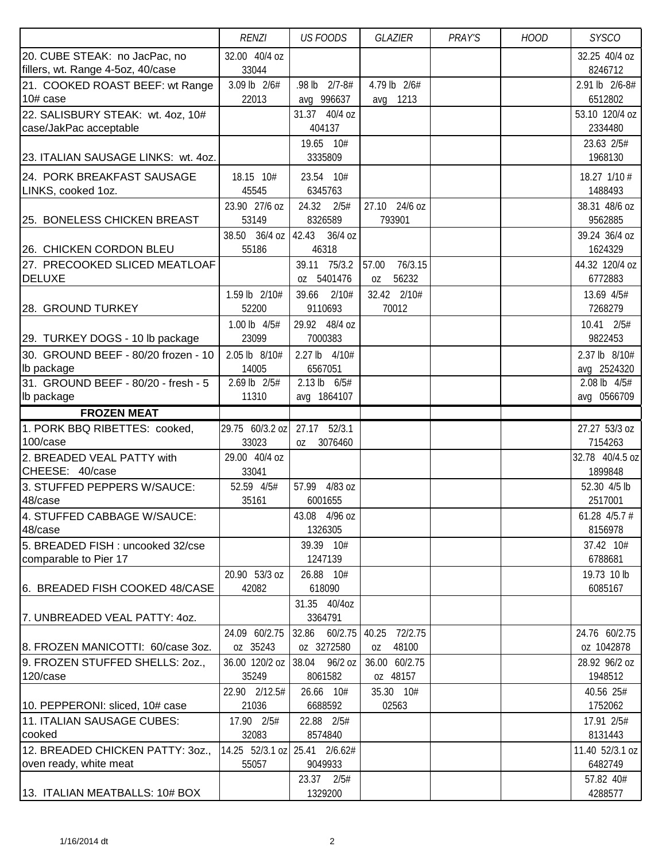|                                     | <b>RENZI</b>                  | <b>US FOODS</b>       | GLAZIER          | PRAY'S | <b>HOOD</b> | <b>SYSCO</b>         |
|-------------------------------------|-------------------------------|-----------------------|------------------|--------|-------------|----------------------|
| 20. CUBE STEAK: no JacPac, no       | 32.00 40/4 oz                 |                       |                  |        |             | 32.25 40/4 oz        |
| fillers, wt. Range 4-5oz, 40/case   | 33044                         |                       |                  |        |             | 8246712              |
| 21. COOKED ROAST BEEF: wt Range     | 3.09 lb 2/6#                  | .98 lb 2/7-8#         | 4.79 lb 2/6#     |        |             | 2.91 lb 2/6-8#       |
| 10# case                            | 22013                         | avg 996637            | 1213<br>avg      |        |             | 6512802              |
| 22. SALISBURY STEAK: wt. 4oz, 10#   |                               | 31.37 40/4 oz         |                  |        |             | 53.10 120/4 oz       |
| case/JakPac acceptable              |                               | 404137                |                  |        |             | 2334480              |
|                                     |                               | 19.65 10#             |                  |        |             | 23.63 2/5#           |
| 23. ITALIAN SAUSAGE LINKS: wt. 4oz. |                               | 3335809               |                  |        |             | 1968130              |
| 24. PORK BREAKFAST SAUSAGE          | 18.15 10#                     | 23.54 10#             |                  |        |             | 18.27 1/10 #         |
| LINKS, cooked 1oz.                  | 45545                         | 6345763               |                  |        |             | 1488493              |
|                                     | 23.90 27/6 oz                 | 24.32<br>2/5#         | 27.10 24/6 oz    |        |             | 38.31 48/6 oz        |
| 25. BONELESS CHICKEN BREAST         | 53149                         | 8326589               | 793901           |        |             | 9562885              |
|                                     | 38.50 36/4 oz                 | 42.43<br>36/4 oz      |                  |        |             | 39.24 36/4 oz        |
| 26. CHICKEN CORDON BLEU             | 55186                         | 46318                 |                  |        |             | 1624329              |
| 27. PRECOOKED SLICED MEATLOAF       |                               | 39.11 75/3.2          | 57.00<br>76/3.15 |        |             | 44.32 120/4 oz       |
| <b>DELUXE</b>                       |                               | oz 5401476            | 56232<br>0Z      |        |             | 6772883              |
|                                     | 1.59 lb 2/10#                 | 39.66<br>2/10#        | 32.42 2/10#      |        |             | 13.69 4/5#           |
| 28. GROUND TURKEY                   | 52200                         | 9110693               | 70012            |        |             | 7268279              |
|                                     | 1.00 lb 4/5#                  | 29.92 48/4 oz         |                  |        |             | 10.41 2/5#           |
| 29. TURKEY DOGS - 10 lb package     | 23099                         | 7000383               |                  |        |             | 9822453              |
| 30. GROUND BEEF - 80/20 frozen - 10 | 2.05 lb 8/10#                 | 2.27 lb 4/10#         |                  |        |             | 2.37 lb 8/10#        |
| Ib package                          | 14005                         | 6567051               |                  |        |             | avg 2524320          |
| 31. GROUND BEEF - 80/20 - fresh - 5 | 2.69 lb 2/5#                  | 2.13 lb 6/5#          |                  |        |             | 2.08 lb 4/5#         |
| Ib package                          | 11310                         | avg 1864107           |                  |        |             | avg 0566709          |
| <b>FROZEN MEAT</b>                  |                               |                       |                  |        |             |                      |
| 1. PORK BBQ RIBETTES: cooked,       | 29.75 60/3.2 oz               | 27.17 52/3.1          |                  |        |             | 27.27 53/3 oz        |
| 100/case                            | 33023                         | 3076460<br>0Z         |                  |        |             | 7154263              |
| 2. BREADED VEAL PATTY with          | 29.00 40/4 oz                 |                       |                  |        |             | 32.78 40/4.5 oz      |
| CHEESE: 40/case                     | 33041                         |                       |                  |        |             | 1899848              |
| 3. STUFFED PEPPERS W/SAUCE:         | 52.59 4/5#                    | 57.99<br>4/83 oz      |                  |        |             | 52.30 4/5 lb         |
| 48/case                             | 35161                         | 6001655               |                  |        |             | 2517001              |
| 4. STUFFED CABBAGE W/SAUCE:         |                               | 43.08 4/96 oz         |                  |        |             | 61.28 $4/5.7$ #      |
| 48/case                             |                               | 1326305               |                  |        |             | 8156978              |
| 5. BREADED FISH : uncooked 32/cse   |                               | 39.39 10#             |                  |        |             | 37.42 10#            |
| comparable to Pier 17               |                               | 1247139               |                  |        |             | 6788681              |
|                                     | 20.90 53/3 oz                 | 26.88 10#             |                  |        |             | 19.73 10 lb          |
| 6. BREADED FISH COOKED 48/CASE      | 42082                         | 618090                |                  |        |             | 6085167              |
|                                     |                               | 31.35 40/4oz          |                  |        |             |                      |
| 7. UNBREADED VEAL PATTY: 40Z.       |                               | 3364791               |                  |        |             |                      |
|                                     | 24.09 60/2.75                 | 32.86 60/2.75         | 72/2.75<br>40.25 |        |             | 24.76 60/2.75        |
| 8. FROZEN MANICOTTI: 60/case 3oz.   | oz 35243                      | oz 3272580            | 48100<br>0Z      |        |             | oz 1042878           |
| 9. FROZEN STUFFED SHELLS: 20Z.,     | 36.00 120/2 oz                | 38.04<br>96/2 oz      | 36.00 60/2.75    |        |             | 28.92 96/2 oz        |
| 120/case                            | 35249                         | 8061582               | oz 48157         |        |             | 1948512              |
|                                     | 22.90 2/12.5#                 | 26.66 10#             | 35.30 10#        |        |             | 40.56 25#            |
| 10. PEPPERONI: sliced, 10# case     | 21036                         | 6688592               | 02563            |        |             | 1752062              |
| 11. ITALIAN SAUSAGE CUBES:          | 17.90 2/5#                    | 22.88 2/5#            |                  |        |             | 17.91 2/5#           |
| cooked                              | 32083                         | 8574840               |                  |        |             | 8131443              |
| 12. BREADED CHICKEN PATTY: 30Z.,    | 14.25 52/3.1 oz 25.41 2/6.62# |                       |                  |        |             | 11.40 52/3.1 oz      |
| oven ready, white meat              | 55057                         | 9049933               |                  |        |             | 6482749              |
|                                     |                               |                       |                  |        |             |                      |
| 13. ITALIAN MEATBALLS: 10# BOX      |                               | 23.37 2/5#<br>1329200 |                  |        |             | 57.82 40#<br>4288577 |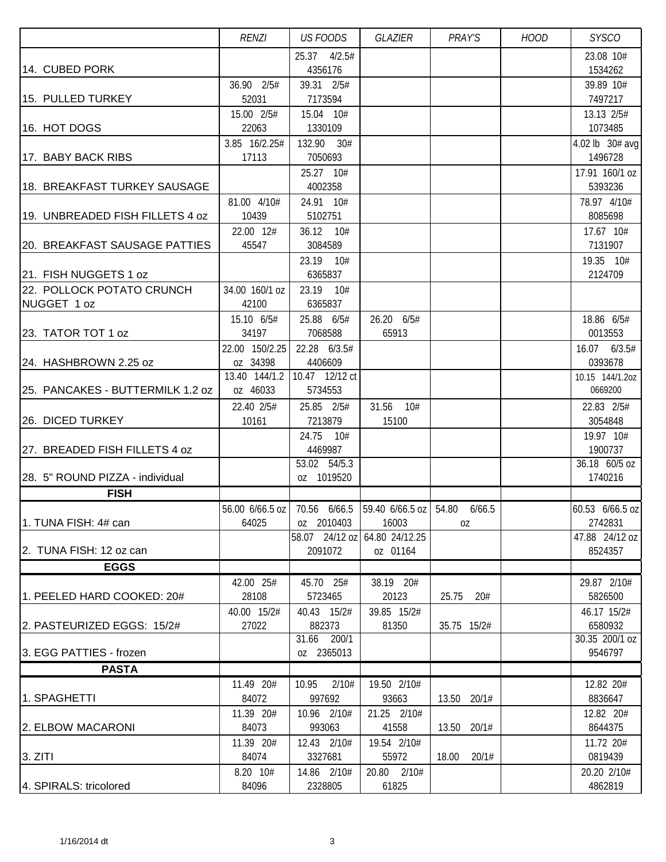|                                      | <b>RENZI</b>              | <b>US FOODS</b>           | GLAZIER                                                         | PRAY'S         | <b>HOOD</b> | <b>SYSCO</b>               |
|--------------------------------------|---------------------------|---------------------------|-----------------------------------------------------------------|----------------|-------------|----------------------------|
|                                      |                           | 25.37 4/2.5#              |                                                                 |                |             | 23.08 10#                  |
| 14. CUBED PORK                       |                           | 4356176                   |                                                                 |                |             | 1534262                    |
|                                      | 36.90 2/5#                | 39.31 2/5#                |                                                                 |                |             | 39.89 10#                  |
| 15. PULLED TURKEY                    | 52031                     | 7173594                   |                                                                 |                |             | 7497217                    |
|                                      | 15.00 2/5#                | 15.04 10#                 |                                                                 |                |             | 13.13 2/5#                 |
| 16. HOT DOGS                         | 22063                     | 1330109                   |                                                                 |                |             | 1073485                    |
| 17. BABY BACK RIBS                   | 3.85 16/2.25#<br>17113    | 132.90 30#<br>7050693     |                                                                 |                |             | 4.02 lb 30# avg<br>1496728 |
|                                      |                           | 25.27 10#                 |                                                                 |                |             | 17.91 160/1 oz             |
| 18. BREAKFAST TURKEY SAUSAGE         |                           | 4002358                   |                                                                 |                |             | 5393236                    |
|                                      | 81.00 4/10#               | 24.91 10#                 |                                                                 |                |             | 78.97 4/10#                |
| 19. UNBREADED FISH FILLETS 4 oz      | 10439                     | 5102751                   |                                                                 |                |             | 8085698                    |
|                                      | 22.00 12#                 | 36.12 10#                 |                                                                 |                |             | 17.67 10#                  |
| <b>20. BREAKFAST SAUSAGE PATTIES</b> | 45547                     | 3084589                   |                                                                 |                |             | 7131907                    |
|                                      |                           | 23.19 10#                 |                                                                 |                |             | 19.35 10#                  |
| 21. FISH NUGGETS 1 oz                |                           | 6365837                   |                                                                 |                |             | 2124709                    |
| 22. POLLOCK POTATO CRUNCH            | 34.00 160/1 oz            | 23.19 10#                 |                                                                 |                |             |                            |
| NUGGET 1 oz                          | 42100                     | 6365837                   |                                                                 |                |             |                            |
|                                      | 15.10 6/5#                | 25.88 6/5#                | 26.20 6/5#                                                      |                |             | 18.86 6/5#                 |
| 23. TATOR TOT 1 oz                   | 34197                     | 7068588                   | 65913                                                           |                |             | 0013553                    |
|                                      | 22.00 150/2.25            | 22.28 6/3.5#              |                                                                 |                |             | 16.07 6/3.5#               |
| 24. HASHBROWN 2.25 oz                | oz 34398                  | 4406609                   |                                                                 |                |             | 0393678                    |
| 25. PANCAKES - BUTTERMILK 1.2 oz     | 13.40 144/1.2<br>oz 46033 | 10.47 12/12 ct<br>5734553 |                                                                 |                |             | 10.15 144/1.2oz<br>0669200 |
|                                      |                           |                           |                                                                 |                |             |                            |
| 26. DICED TURKEY                     | 22.40 2/5#<br>10161       | 25.85 2/5#<br>7213879     | 31.56 10#<br>15100                                              |                |             | 22.83 2/5#<br>3054848      |
|                                      |                           | 24.75 10#                 |                                                                 |                |             | 19.97 10#                  |
| 27. BREADED FISH FILLETS 4 oz        |                           | 4469987                   |                                                                 |                |             | 1900737                    |
|                                      |                           | 53.02 54/5.3              |                                                                 |                |             | $\overline{36.18}$ 60/5 oz |
| 28. 5" ROUND PIZZA - individual      |                           | oz 1019520                |                                                                 |                |             | 1740216                    |
| <b>FISH</b>                          |                           |                           |                                                                 |                |             |                            |
|                                      |                           |                           | 56.00 6/66.5 oz   70.56 6/66.5   59.40 6/66.5 oz   54.80 6/66.5 |                |             | 60.53 6/66.5 oz            |
| 1. TUNA FISH: 4# can                 | 64025                     | oz 2010403                | 16003                                                           | 0Z             |             | 2742831                    |
|                                      |                           | 58.07 24/12 oz            | 64.80 24/12.25                                                  |                |             | 47.88 24/12 oz             |
| 2. TUNA FISH: 12 oz can              |                           | 2091072                   | oz 01164                                                        |                |             | 8524357                    |
| <b>EGGS</b>                          |                           |                           |                                                                 |                |             |                            |
|                                      | 42.00 25#                 | 45.70 25#                 | 38.19 20#                                                       |                |             | 29.87 2/10#                |
| 1. PEELED HARD COOKED: 20#           | 28108                     | 5723465                   | 20123                                                           | 25.75<br>20#   |             | 5826500                    |
|                                      | 40.00 15/2#               | 40.43 15/2#               | 39.85 15/2#                                                     |                |             | 46.17 15/2#                |
| 2. PASTEURIZED EGGS: 15/2#           | 27022                     | 882373<br>31.66 200/1     | 81350                                                           | 35.75 15/2#    |             | 6580932<br>30.35 200/1 oz  |
| 3. EGG PATTIES - frozen              |                           | oz 2365013                |                                                                 |                |             | 9546797                    |
| <b>PASTA</b>                         |                           |                           |                                                                 |                |             |                            |
|                                      | 11.49 20#                 | 2/10#<br>10.95            | 19.50 2/10#                                                     |                |             | 12.82 20#                  |
| 1. SPAGHETTI                         | 84072                     | 997692                    | 93663                                                           | 13.50 20/1#    |             | 8836647                    |
|                                      | 11.39 20#                 | 10.96 2/10#               | 21.25 2/10#                                                     |                |             | 12.82 20#                  |
| 2. ELBOW MACARONI                    | 84073                     | 993063                    | 41558                                                           | 13.50 20/1#    |             | 8644375                    |
|                                      | 11.39 20#                 | 12.43 2/10#               | 19.54 2/10#                                                     |                |             | 11.72 20#                  |
| 3. ZITI                              | 84074                     | 3327681                   | 55972                                                           | 20/1#<br>18.00 |             | 0819439                    |
|                                      | 8.20 10#                  | 14.86 2/10#               | 20.80 2/10#                                                     |                |             | 20.20 2/10#                |
| 4. SPIRALS: tricolored               | 84096                     | 2328805                   | 61825                                                           |                |             | 4862819                    |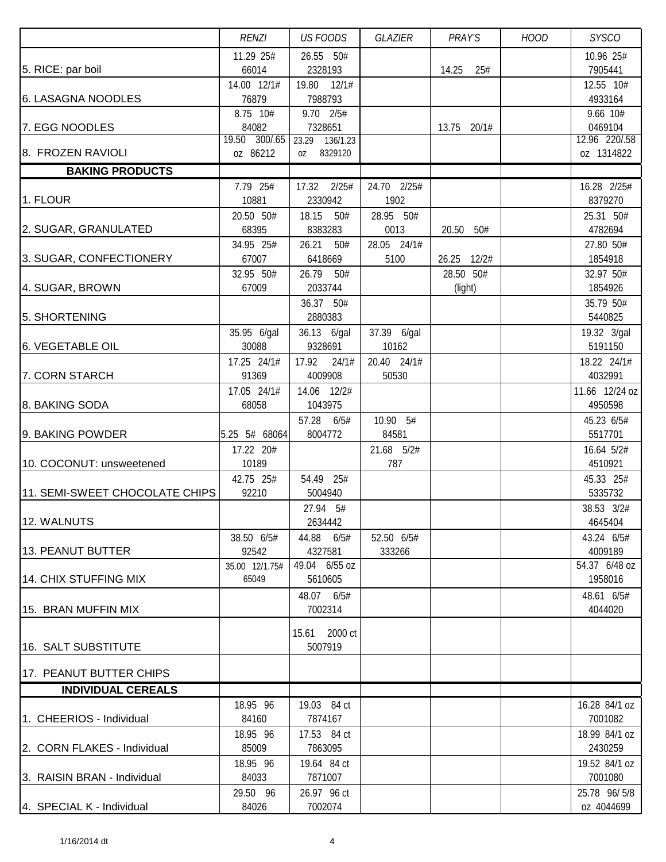|                                | <b>RENZI</b>               | <b>US FOODS</b>              | GLAZIER             | PRAY'S       | <b>HOOD</b> | <b>SYSCO</b>             |
|--------------------------------|----------------------------|------------------------------|---------------------|--------------|-------------|--------------------------|
|                                | 11.29 25#                  | 26.55 50#                    |                     |              |             | 10.96 25#                |
| 5. RICE: par boil              | 66014                      | 2328193                      |                     | 14.25<br>25# |             | 7905441                  |
|                                | 14.00 12/1#                | 12/1#<br>19.80               |                     |              |             | 12.55 10#                |
| 6. LASAGNA NOODLES             | 76879                      | 7988793                      |                     |              |             | 4933164                  |
|                                | 8.75 10#                   | 9.70 2/5#                    |                     |              |             | 9.66 10#                 |
| 7. EGG NOODLES                 | 84082<br>19.50 300/.65     | 7328651<br>23.29<br>136/1.23 |                     | 13.75 20/1#  |             | 0469104<br>12.96 220/.58 |
| 8. FROZEN RAVIOLI              | oz 86212                   | 8329120<br>0Z                |                     |              |             | oz 1314822               |
| <b>BAKING PRODUCTS</b>         |                            |                              |                     |              |             |                          |
|                                | 7.79 25#                   | 17.32<br>2/25#               | 24.70 2/25#         |              |             | 16.28 2/25#              |
| 1. FLOUR                       | 10881                      | 2330942                      | 1902                |              |             | 8379270                  |
|                                | 20.50 50#                  | 18.15<br>50#                 | 28.95 50#           |              |             | 25.31 50#                |
| 2. SUGAR, GRANULATED           | 68395                      | 8383283                      | 0013                | 20.50 50#    |             | 4782694                  |
|                                | 34.95 25#                  | 26.21<br>50#                 | 28.05 24/1#         |              |             | 27.80 50#                |
| 3. SUGAR, CONFECTIONERY        | 67007                      | 6418669                      | 5100                | 26.25 12/2#  |             | 1854918                  |
|                                | 32.95 50#                  | 26.79<br>50#                 |                     | 28.50 50#    |             | 32.97 50#                |
| 4. SUGAR, BROWN                | 67009                      | 2033744                      |                     | (light)      |             | 1854926                  |
|                                |                            | 36.37 50#                    |                     |              |             | 35.79 50#                |
| 5. SHORTENING                  |                            | 2880383                      |                     |              |             | 5440825                  |
|                                | 35.95 6/gal                | 36.13 6/gal                  | 37.39 6/gal         |              |             | 19.32 3/gal              |
| 6. VEGETABLE OIL               | 30088                      | 9328691                      | 10162               |              |             | 5191150                  |
|                                | 17.25 24/1#                | 17.92<br>24/1#               | 20.40 24/1#         |              |             | 18.22 24/1#              |
| 7. CORN STARCH                 | 91369                      | 4009908                      | 50530               |              |             | 4032991                  |
|                                | 17.05 24/1#                | 14.06 12/2#                  |                     |              |             | 11.66 12/24 oz           |
| 8. BAKING SODA                 | 68058                      | 1043975                      |                     |              |             | 4950598                  |
| 9. BAKING POWDER               |                            | 57.28<br>6/5#                | 10.90 5#            |              |             | 45.23 6/5#               |
|                                | 5.25 5# 68064<br>17.22 20# | 8004772                      | 84581<br>21.68 5/2# |              |             | 5517701<br>16.64 5/2#    |
| 10. COCONUT: unsweetened       | 10189                      |                              | 787                 |              |             | 4510921                  |
|                                | 42.75 25#                  | 54.49 25#                    |                     |              |             | 45.33 25#                |
| 11. SEMI-SWEET CHOCOLATE CHIPS | 92210                      | 5004940                      |                     |              |             | 5335732                  |
|                                |                            | 27.94 5#                     |                     |              |             | 38.53 3/2#               |
| 12. WALNUTS                    |                            | 2634442                      |                     |              |             | 4645404                  |
|                                | 38.50 6/5#                 | 44.88 6/5#                   | 52.50 6/5#          |              |             | 43.24 6/5#               |
| 13. PEANUT BUTTER              | 92542                      | 4327581                      | 333266              |              |             | 4009189                  |
|                                | 35.00 12/1.75#             | 49.04 6/55 oz                |                     |              |             | 54.37 6/48 oz            |
| 14. CHIX STUFFING MIX          | 65049                      | 5610605                      |                     |              |             | 1958016                  |
|                                |                            | 48.07 6/5#                   |                     |              |             | 48.61 6/5#               |
| 15. BRAN MUFFIN MIX            |                            | 7002314                      |                     |              |             | 4044020                  |
|                                |                            | 15.61 2000 ct                |                     |              |             |                          |
| 16. SALT SUBSTITUTE            |                            | 5007919                      |                     |              |             |                          |
|                                |                            |                              |                     |              |             |                          |
| 17. PEANUT BUTTER CHIPS        |                            |                              |                     |              |             |                          |
| <b>INDIVIDUAL CEREALS</b>      |                            |                              |                     |              |             |                          |
|                                | 18.95 96                   | 19.03 84 ct                  |                     |              |             | 16.28 84/1 oz            |
| 1. CHEERIOS - Individual       | 84160                      | 7874167                      |                     |              |             | 7001082                  |
|                                | 18.95 96                   | 17.53 84 ct                  |                     |              |             | 18.99 84/1 oz            |
| 2. CORN FLAKES - Individual    | 85009                      | 7863095                      |                     |              |             | 2430259                  |
|                                | 18.95 96                   | 19.64 84 ct                  |                     |              |             | 19.52 84/1 oz            |
| 3. RAISIN BRAN - Individual    | 84033                      | 7871007                      |                     |              |             | 7001080                  |
|                                | 29.50 96                   | 26.97 96 ct                  |                     |              |             | 25.78 96/5/8             |
| 4. SPECIAL K - Individual      | 84026                      | 7002074                      |                     |              |             | oz 4044699               |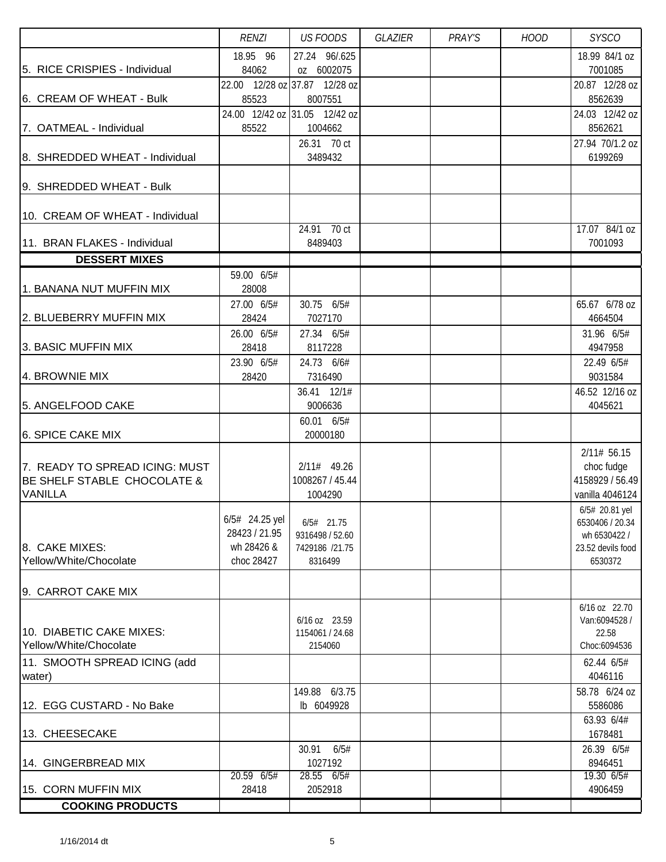|                                 | <b>RENZI</b>   | <b>US FOODS</b>                          | GLAZIER | PRAY'S | <b>HOOD</b> | <b>SYSCO</b>                    |
|---------------------------------|----------------|------------------------------------------|---------|--------|-------------|---------------------------------|
|                                 | 18.95 96       | 27.24 96/.625                            |         |        |             | 18.99 84/1 oz                   |
| 5. RICE CRISPIES - Individual   | 84062          | oz 6002075                               |         |        |             | 7001085                         |
|                                 |                | 22.00 12/28 oz 37.87 12/28 oz            |         |        |             | 20.87 12/28 oz                  |
| 6. CREAM OF WHEAT - Bulk        | 85523          | 8007551                                  |         |        |             | 8562639                         |
| 7. OATMEAL - Individual         | 85522          | 24.00 12/42 oz 31.05 12/42 oz<br>1004662 |         |        |             | 24.03 12/42 oz<br>8562621       |
|                                 |                | 26.31 70 ct                              |         |        |             | 27.94 70/1.2 oz                 |
| 8. SHREDDED WHEAT - Individual  |                | 3489432                                  |         |        |             | 6199269                         |
|                                 |                |                                          |         |        |             |                                 |
| 9. SHREDDED WHEAT - Bulk        |                |                                          |         |        |             |                                 |
|                                 |                |                                          |         |        |             |                                 |
| 10. CREAM OF WHEAT - Individual |                |                                          |         |        |             |                                 |
| 11. BRAN FLAKES - Individual    |                | 24.91 70 ct<br>8489403                   |         |        |             | 17.07 84/1 oz<br>7001093        |
| <b>DESSERT MIXES</b>            |                |                                          |         |        |             |                                 |
|                                 | 59.00 6/5#     |                                          |         |        |             |                                 |
| 1. BANANA NUT MUFFIN MIX        | 28008          |                                          |         |        |             |                                 |
|                                 | 27.00 6/5#     | 30.75 6/5#                               |         |        |             | 65.67 6/78 oz                   |
| 2. BLUEBERRY MUFFIN MIX         | 28424          | 7027170                                  |         |        |             | 4664504                         |
|                                 | 26.00 6/5#     | 27.34 6/5#                               |         |        |             | 31.96 6/5#                      |
| 3. BASIC MUFFIN MIX             | 28418          | 8117228                                  |         |        |             | 4947958                         |
|                                 | 23.90 6/5#     | 24.73 6/6#                               |         |        |             | 22.49 6/5#                      |
| 4. BROWNIE MIX                  | 28420          | 7316490                                  |         |        |             | 9031584                         |
| 5. ANGELFOOD CAKE               |                | 36.41 12/1#<br>9006636                   |         |        |             | 46.52 12/16 oz<br>4045621       |
|                                 |                | 60.01 6/5#                               |         |        |             |                                 |
| 6. SPICE CAKE MIX               |                | 20000180                                 |         |        |             |                                 |
|                                 |                |                                          |         |        |             | 2/11# 56.15                     |
| 7. READY TO SPREAD ICING: MUST  |                | $2/11#$ 49.26                            |         |        |             | choc fudge                      |
| BE SHELF STABLE CHOCOLATE &     |                | 1008267 / 45.44                          |         |        |             | 4158929 / 56.49                 |
| <b>VANILLA</b>                  |                | 1004290                                  |         |        |             | vanilla 4046124                 |
|                                 | 6/5# 24.25 yel |                                          |         |        |             | 6/5# 20.81 yel                  |
|                                 | 28423 / 21.95  | $6/5#$ 21.75<br>9316498 / 52.60          |         |        |             | 6530406 / 20.34<br>wh 6530422 / |
| 8. CAKE MIXES:                  | wh 28426 &     | 7429186 /21.75                           |         |        |             | 23.52 devils food               |
| Yellow/White/Chocolate          | choc 28427     | 8316499                                  |         |        |             | 6530372                         |
|                                 |                |                                          |         |        |             |                                 |
| 9. CARROT CAKE MIX              |                |                                          |         |        |             |                                 |
|                                 |                |                                          |         |        |             | 6/16 oz 22.70                   |
| 10. DIABETIC CAKE MIXES:        |                | $6/16$ oz 23.59                          |         |        |             | Van:6094528 /                   |
| Yellow/White/Chocolate          |                | 1154061 / 24.68<br>2154060               |         |        |             | 22.58<br>Choc:6094536           |
| 11. SMOOTH SPREAD ICING (add    |                |                                          |         |        |             | 62.44 6/5#                      |
| water)                          |                |                                          |         |        |             | 4046116                         |
|                                 |                | 149.88 6/3.75                            |         |        |             | 58.78 6/24 oz                   |
| 12. EGG CUSTARD - No Bake       |                | lb 6049928                               |         |        |             | 5586086                         |
|                                 |                |                                          |         |        |             | 63.93 6/4#                      |
| 13. CHEESECAKE                  |                |                                          |         |        |             | 1678481                         |
|                                 |                | 30.91 6/5#                               |         |        |             | 26.39 6/5#                      |
| 14. GINGERBREAD MIX             | 20.59 6/5#     | 1027192<br>28.55 6/5#                    |         |        |             | 8946451<br>19.30 6/5#           |
| 15. CORN MUFFIN MIX             | 28418          | 2052918                                  |         |        |             | 4906459                         |
| <b>COOKING PRODUCTS</b>         |                |                                          |         |        |             |                                 |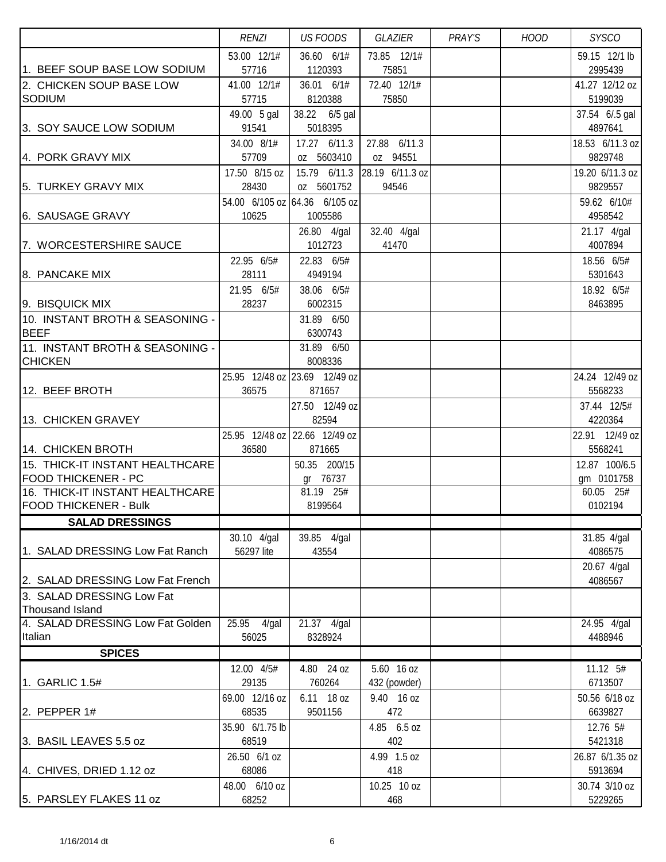|                                                               | <b>RENZI</b>         | <b>US FOODS</b>               | GLAZIER         | PRAY'S | <b>HOOD</b> | <b>SYSCO</b>                |
|---------------------------------------------------------------|----------------------|-------------------------------|-----------------|--------|-------------|-----------------------------|
|                                                               | 53.00 12/1#          | 36.60 6/1#                    | 73.85 12/1#     |        |             | 59.15 12/1 lb               |
| 1. BEEF SOUP BASE LOW SODIUM                                  | 57716                | 1120393                       | 75851           |        |             | 2995439                     |
| 2. CHICKEN SOUP BASE LOW                                      | 41.00 12/1#          | 36.01 6/1#                    | 72.40 12/1#     |        |             | 41.27 12/12 oz              |
| <b>SODIUM</b>                                                 | 57715                | 8120388                       | 75850           |        |             | 5199039                     |
| 3. SOY SAUCE LOW SODIUM                                       | 49.00 5 gal<br>91541 | 38.22 6/5 gal<br>5018395      |                 |        |             | 37.54 6/.5 gal<br>4897641   |
|                                                               | 34.00 8/1#           | 17.27 6/11.3                  | 27.88 6/11.3    |        |             | 18.53 6/11.3 oz             |
| 4. PORK GRAVY MIX                                             | 57709                | oz 5603410                    | oz 94551        |        |             | 9829748                     |
|                                                               | 17.50 8/15 oz        | 15.79 6/11.3                  | 28.19 6/11.3 oz |        |             | 19.20 6/11.3 oz             |
| 5. TURKEY GRAVY MIX                                           | 28430                | oz 5601752                    | 94546           |        |             | 9829557                     |
|                                                               |                      | 54.00 6/105 oz 64.36 6/105 oz |                 |        |             | 59.62 6/10#                 |
| 6. SAUSAGE GRAVY                                              | 10625                | 1005586                       |                 |        |             | 4958542                     |
|                                                               |                      | 26.80 4/gal                   | 32.40 4/gal     |        |             | 21.17 4/gal                 |
| 7. WORCESTERSHIRE SAUCE                                       |                      | 1012723                       | 41470           |        |             | 4007894                     |
|                                                               | 22.95 6/5#           | 22.83 6/5#                    |                 |        |             | 18.56 6/5#                  |
| 8. PANCAKE MIX                                                | 28111                | 4949194                       |                 |        |             | 5301643                     |
| 9. BISQUICK MIX                                               | 21.95 6/5#<br>28237  | 38.06 6/5#<br>6002315         |                 |        |             | 18.92 6/5#<br>8463895       |
| 10. INSTANT BROTH & SEASONING -                               |                      | 31.89 6/50                    |                 |        |             |                             |
| <b>BEEF</b>                                                   |                      | 6300743                       |                 |        |             |                             |
| 11. INSTANT BROTH & SEASONING -                               |                      | 31.89 6/50                    |                 |        |             |                             |
| <b>CHICKEN</b>                                                |                      | 8008336                       |                 |        |             |                             |
|                                                               |                      | 25.95 12/48 oz 23.69 12/49 oz |                 |        |             | 24.24 12/49 oz              |
| 12. BEEF BROTH                                                | 36575                | 871657                        |                 |        |             | 5568233                     |
|                                                               |                      | 27.50 12/49 oz                |                 |        |             | 37.44 12/5#                 |
| 13. CHICKEN GRAVEY                                            |                      | 82594                         |                 |        |             | 4220364                     |
|                                                               |                      | 25.95 12/48 oz 22.66 12/49 oz |                 |        |             | 22.91 12/49 oz              |
| 14. CHICKEN BROTH                                             | 36580                | 871665                        |                 |        |             | 5568241                     |
| 15. THICK-IT INSTANT HEALTHCARE<br><b>FOOD THICKENER - PC</b> |                      | 50.35 200/15<br>gr 76737      |                 |        |             | 12.87 100/6.5<br>gm 0101758 |
| 16. THICK-IT INSTANT HEALTHCARE                               |                      | 81.19 25#                     |                 |        |             | 60.05 25#                   |
| <b>FOOD THICKENER - Bulk</b>                                  |                      | 8199564                       |                 |        |             | 0102194                     |
| <b>SALAD DRESSINGS</b>                                        |                      |                               |                 |        |             |                             |
|                                                               | 30.10 4/gal          | 39.85 4/gal                   |                 |        |             | 31.85 4/gal                 |
| 1. SALAD DRESSING Low Fat Ranch                               | 56297 lite           | 43554                         |                 |        |             | 4086575                     |
|                                                               |                      |                               |                 |        |             | 20.67 4/gal                 |
| 2. SALAD DRESSING Low Fat French                              |                      |                               |                 |        |             | 4086567                     |
| 3. SALAD DRESSING Low Fat                                     |                      |                               |                 |        |             |                             |
| <b>Thousand Island</b><br>4. SALAD DRESSING Low Fat Golden    | 25.95<br>$4$ /gal    | 21.37 4/gal                   |                 |        |             | 24.95 4/gal                 |
| Italian                                                       | 56025                | 8328924                       |                 |        |             | 4488946                     |
| <b>SPICES</b>                                                 |                      |                               |                 |        |             |                             |
|                                                               | 12.00 4/5#           | 4.80 24 oz                    | 5.60 16 oz      |        |             | 11.12 5#                    |
| 1. GARLIC 1.5#                                                | 29135                | 760264                        | 432 (powder)    |        |             | 6713507                     |
|                                                               | 69.00 12/16 oz       | 6.11 18 oz                    | 9.40 16 oz      |        |             | 50.56 6/18 oz               |
| 2. PEPPER $1#$                                                | 68535                | 9501156                       | 472             |        |             | 6639827                     |
|                                                               | 35.90 6/1.75 lb      |                               | 4.85 6.5 oz     |        |             | 12.76 5#                    |
| 3. BASIL LEAVES 5.5 oz                                        | 68519                |                               | 402             |        |             | 5421318                     |
|                                                               | 26.50 6/1 oz         |                               | 4.99 1.5 oz     |        |             | 26.87 6/1.35 oz             |
| 4. CHIVES, DRIED 1.12 oz                                      | 68086                |                               | 418             |        |             | 5913694                     |
|                                                               | 48.00 6/10 oz        |                               | 10.25 10 oz     |        |             | 30.74 3/10 oz               |
| 5. PARSLEY FLAKES 11 oz                                       | 68252                |                               | 468             |        |             | 5229265                     |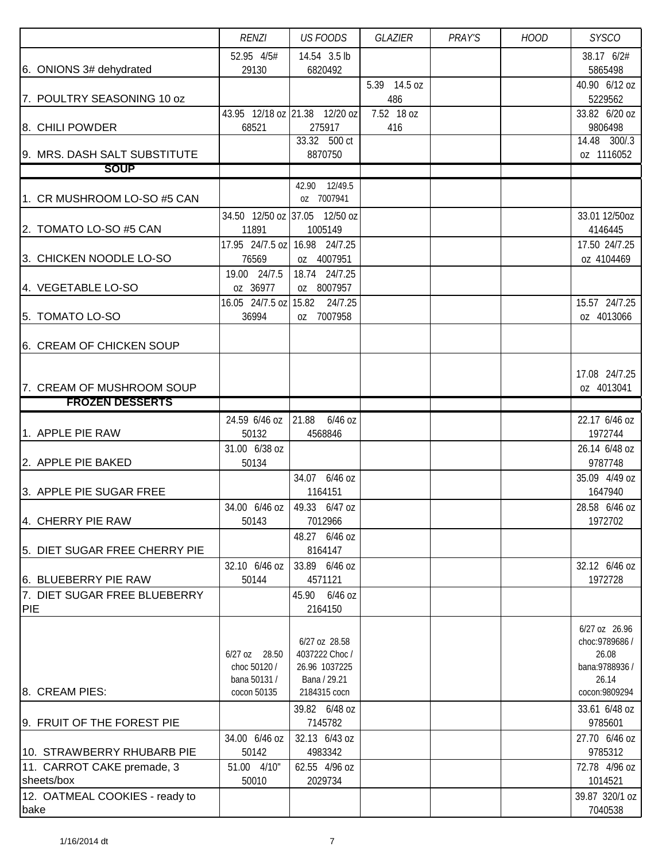|                                                     | <b>RENZI</b>                 | <b>US FOODS</b>               | <b>GLAZIER</b> | PRAY'S | <b>HOOD</b> | <b>SYSCO</b>             |
|-----------------------------------------------------|------------------------------|-------------------------------|----------------|--------|-------------|--------------------------|
|                                                     | 52.95 4/5#                   | 14.54 3.5 lb                  |                |        |             | 38.17 6/2#               |
| 6. ONIONS 3# dehydrated                             | 29130                        | 6820492                       |                |        |             | 5865498                  |
|                                                     |                              |                               | 5.39 14.5 oz   |        |             | 40.90 6/12 oz            |
| 7. POULTRY SEASONING 10 oz                          |                              |                               | 486            |        |             | 5229562                  |
|                                                     |                              | 43.95 12/18 oz 21.38 12/20 oz | 7.52 18 oz     |        |             | 33.82 6/20 oz            |
| 8. CHILI POWDER                                     | 68521                        | 275917<br>33.32 500 ct        | 416            |        |             | 9806498<br>14.48 300/.3  |
| 9. MRS. DASH SALT SUBSTITUTE                        |                              | 8870750                       |                |        |             | oz 1116052               |
| <b>SOUP</b>                                         |                              |                               |                |        |             |                          |
|                                                     |                              | 42.90 12/49.5                 |                |        |             |                          |
| 1. CR MUSHROOM LO-SO #5 CAN                         |                              | oz 7007941                    |                |        |             |                          |
|                                                     |                              | 34.50 12/50 oz 37.05 12/50 oz |                |        |             | 33.01 12/50oz            |
| 2. TOMATO LO-SO #5 CAN                              | 11891                        | 1005149                       |                |        |             | 4146445                  |
|                                                     |                              | 17.95 24/7.5 oz 16.98 24/7.25 |                |        |             | 17.50 24/7.25            |
| 3. CHICKEN NOODLE LO-SO                             | 76569                        | oz 4007951                    |                |        |             | oz 4104469               |
|                                                     | 19.00 24/7.5                 | 18.74 24/7.25                 |                |        |             |                          |
| 4. VEGETABLE LO-SO                                  | oz 36977                     | oz 8007957                    |                |        |             |                          |
|                                                     |                              | 16.05 24/7.5 oz 15.82 24/7.25 |                |        |             | 15.57 24/7.25            |
| 5. TOMATO LO-SO                                     | 36994                        | oz 7007958                    |                |        |             | oz 4013066               |
|                                                     |                              |                               |                |        |             |                          |
| 6. CREAM OF CHICKEN SOUP                            |                              |                               |                |        |             |                          |
|                                                     |                              |                               |                |        |             |                          |
|                                                     |                              |                               |                |        |             | 17.08 24/7.25            |
| 7. CREAM OF MUSHROOM SOUP<br><b>FROZEN DESSERTS</b> |                              |                               |                |        |             | oz 4013041               |
|                                                     |                              |                               |                |        |             |                          |
| 1. APPLE PIE RAW                                    | 24.59 6/46 oz                | 21.88<br>6/46 oz              |                |        |             | 22.17 6/46 oz            |
|                                                     | 50132                        | 4568846                       |                |        |             | 1972744                  |
| 2. APPLE PIE BAKED                                  | 31.00 6/38 oz<br>50134       |                               |                |        |             | 26.14 6/48 oz<br>9787748 |
|                                                     |                              | 34.07 6/46 oz                 |                |        |             | 35.09 4/49 oz            |
| 3. APPLE PIE SUGAR FREE                             |                              | 1164151                       |                |        |             | 1647940                  |
|                                                     | 34.00 6/46 oz                | 49.33 6/47 oz                 |                |        |             | 28.58 6/46 oz            |
| 4. CHERRY PIE RAW                                   | 50143                        | 7012966                       |                |        |             | 1972702                  |
|                                                     |                              | 48.27 6/46 oz                 |                |        |             |                          |
| 5. DIET SUGAR FREE CHERRY PIE                       |                              | 8164147                       |                |        |             |                          |
|                                                     | 32.10 6/46 oz                | 33.89 6/46 oz                 |                |        |             | 32.12 6/46 oz            |
| 6. BLUEBERRY PIE RAW                                | 50144                        | 4571121                       |                |        |             | 1972728                  |
| 7. DIET SUGAR FREE BLUEBERRY                        |                              | 6/46 oz<br>45.90              |                |        |             |                          |
| <b>PIE</b>                                          |                              | 2164150                       |                |        |             |                          |
|                                                     |                              |                               |                |        |             | 6/27 oz 26.96            |
|                                                     |                              | 6/27 oz 28.58                 |                |        |             | choc: 9789686 /          |
|                                                     | 6/27 oz 28.50                | 4037222 Choc /                |                |        |             | 26.08                    |
|                                                     | choc 50120 /<br>bana 50131 / | 26.96 1037225<br>Bana / 29.21 |                |        |             | bana: 9788936 /<br>26.14 |
| 8. CREAM PIES:                                      | cocon 50135                  | 2184315 cocn                  |                |        |             | cocon: 9809294           |
|                                                     |                              | 39.82 6/48 oz                 |                |        |             | 33.61 6/48 oz            |
| 9. FRUIT OF THE FOREST PIE                          |                              | 7145782                       |                |        |             | 9785601                  |
|                                                     | 34.00 6/46 oz                | 32.13 6/43 oz                 |                |        |             | 27.70 6/46 oz            |
| 10. STRAWBERRY RHUBARB PIE                          | 50142                        | 4983342                       |                |        |             | 9785312                  |
| 11. CARROT CAKE premade, 3                          | 51.00 4/10"                  | 62.55 4/96 oz                 |                |        |             | 72.78 4/96 oz            |
| sheets/box                                          | 50010                        | 2029734                       |                |        |             | 1014521                  |
| 12. OATMEAL COOKIES - ready to                      |                              |                               |                |        |             | 39.87 320/1 oz           |
| bake                                                |                              |                               |                |        |             | 7040538                  |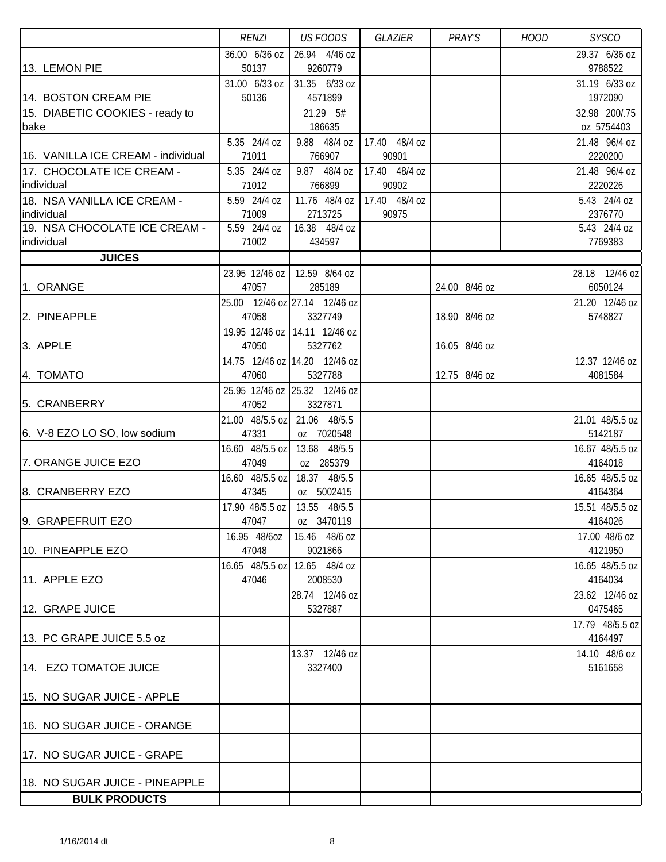|                                    | <b>RENZI</b>                 | <b>US FOODS</b>                              | GLAZIER       | PRAY'S        | <b>HOOD</b> | <b>SYSCO</b>               |
|------------------------------------|------------------------------|----------------------------------------------|---------------|---------------|-------------|----------------------------|
|                                    | 36.00 6/36 oz                | 26.94 4/46 oz                                |               |               |             | 29.37 6/36 oz              |
| 13. LEMON PIE                      | 50137                        | 9260779                                      |               |               |             | 9788522                    |
|                                    | 31.00 6/33 oz                | 31.35 6/33 oz                                |               |               |             | 31.19 6/33 oz              |
| 14. BOSTON CREAM PIE               | 50136                        | 4571899                                      |               |               |             | 1972090                    |
| 15. DIABETIC COOKIES - ready to    |                              | 21.29 5#                                     |               |               |             | 32.98 200/.75              |
| bake                               |                              | 186635                                       |               |               |             | oz 5754403                 |
|                                    | 5.35 24/4 oz                 | 9.88 48/4 oz                                 | 17.40 48/4 oz |               |             | 21.48 96/4 oz              |
| 16. VANILLA ICE CREAM - individual | 71011                        | 766907                                       | 90901         |               |             | 2220200                    |
| 17. CHOCOLATE ICE CREAM -          | 5.35 24/4 oz                 | 9.87 48/4 oz                                 | 17.40 48/4 oz |               |             | 21.48 96/4 oz              |
| individual                         | 71012                        | 766899                                       | 90902         |               |             | 2220226                    |
| 18. NSA VANILLA ICE CREAM -        | 5.59 24/4 oz                 | 11.76 48/4 oz                                | 17.40 48/4 oz |               |             | 5.43 24/4 oz               |
| individual                         | 71009                        | 2713725                                      | 90975         |               |             | 2376770                    |
| 19. NSA CHOCOLATE ICE CREAM -      | 5.59 24/4 oz                 | 16.38 48/4 oz                                |               |               |             | 5.43 24/4 oz               |
| individual                         | 71002                        | 434597                                       |               |               |             | 7769383                    |
| <b>JUICES</b>                      |                              |                                              |               |               |             |                            |
|                                    | 23.95 12/46 oz               | 12.59 8/64 oz                                |               |               |             | 28.18 12/46 oz             |
| 1. ORANGE                          | 47057                        | 285189                                       |               | 24.00 8/46 oz |             | 6050124                    |
|                                    |                              | 25.00 12/46 oz 27.14 12/46 oz                |               |               |             | 21.20 12/46 oz             |
| 2. PINEAPPLE                       | 47058                        | 3327749                                      |               | 18.90 8/46 oz |             | 5748827                    |
|                                    |                              | 19.95 12/46 oz   14.11 12/46 oz              |               |               |             |                            |
| 3. APPLE                           | 47050                        | 5327762                                      |               | 16.05 8/46 oz |             |                            |
|                                    |                              | 14.75 12/46 oz 14.20 12/46 oz                |               |               |             | 12.37 12/46 oz             |
| 4. TOMATO                          | 47060                        | 5327788                                      |               | 12.75 8/46 oz |             | 4081584                    |
|                                    |                              | 25.95 12/46 oz 25.32 12/46 oz                |               |               |             |                            |
| 5. CRANBERRY                       | 47052                        | 3327871                                      |               |               |             |                            |
|                                    | 21.00 48/5.5 oz 21.06 48/5.5 |                                              |               |               |             | 21.01 48/5.5 oz            |
| 6. V-8 EZO LO SO, low sodium       | 47331                        | oz 7020548                                   |               |               |             | 5142187                    |
|                                    | 16.60 48/5.5 oz 13.68 48/5.5 |                                              |               |               |             | 16.67 48/5.5 oz            |
| 7. ORANGE JUICE EZO                | 47049                        | oz 285379                                    |               |               |             | 4164018                    |
|                                    |                              | 16.60 48/5.5 oz 18.37 48/5.5                 |               |               |             | 16.65 48/5.5 oz            |
| 8. CRANBERRY EZO                   | 47345                        | oz 5002415                                   |               |               |             | 4164364                    |
| 9. GRAPEFRUIT EZO                  | 47047                        | 17.90 48/5.5 oz   13.55 48/5.5<br>oz 3470119 |               |               |             | 15.51 48/5.5 oz<br>4164026 |
|                                    | 16.95 48/60Z                 | 15.46 48/6 oz                                |               |               |             | 17.00 48/6 oz              |
| 10. PINEAPPLE EZO                  | 47048                        | 9021866                                      |               |               |             | 4121950                    |
|                                    |                              | 16.65 48/5.5 oz 12.65 48/4 oz                |               |               |             | 16.65 48/5.5 oz            |
| 11. APPLE EZO                      | 47046                        | 2008530                                      |               |               |             | 4164034                    |
|                                    |                              | 28.74 12/46 oz                               |               |               |             | 23.62 12/46 oz             |
| 12. GRAPE JUICE                    |                              | 5327887                                      |               |               |             | 0475465                    |
|                                    |                              |                                              |               |               |             | 17.79 48/5.5 oz            |
| 13. PC GRAPE JUICE 5.5 oz          |                              |                                              |               |               |             | 4164497                    |
|                                    |                              | 13.37 12/46 oz                               |               |               |             | 14.10 48/6 oz              |
| 14. EZO TOMATOE JUICE              |                              | 3327400                                      |               |               |             | 5161658                    |
|                                    |                              |                                              |               |               |             |                            |
| 15. NO SUGAR JUICE - APPLE         |                              |                                              |               |               |             |                            |
|                                    |                              |                                              |               |               |             |                            |
| 16. NO SUGAR JUICE - ORANGE        |                              |                                              |               |               |             |                            |
|                                    |                              |                                              |               |               |             |                            |
| 17. NO SUGAR JUICE - GRAPE         |                              |                                              |               |               |             |                            |
|                                    |                              |                                              |               |               |             |                            |
| 18. NO SUGAR JUICE - PINEAPPLE     |                              |                                              |               |               |             |                            |
| <b>BULK PRODUCTS</b>               |                              |                                              |               |               |             |                            |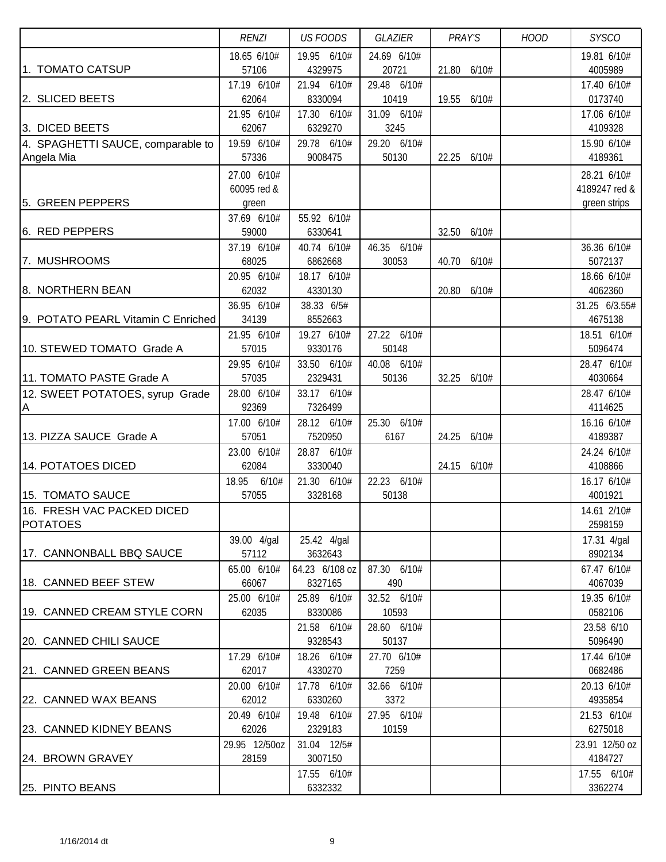|                                    | <b>RENZI</b>  | <b>US FOODS</b> | GLAZIER     | PRAY'S         | <b>HOOD</b> | <b>SYSCO</b>   |
|------------------------------------|---------------|-----------------|-------------|----------------|-------------|----------------|
|                                    | 18.65 6/10#   | 19.95 6/10#     | 24.69 6/10# |                |             | 19.81 6/10#    |
| 1. TOMATO CATSUP                   | 57106         | 4329975         | 20721       | 21.80<br>6/10# |             | 4005989        |
|                                    | 17.19 6/10#   | 21.94 6/10#     | 29.48 6/10# |                |             | 17.40 6/10#    |
| 2. SLICED BEETS                    | 62064         | 8330094         | 10419       | 19.55<br>6/10# |             | 0173740        |
|                                    | 21.95 6/10#   | 17.30 6/10#     | 31.09 6/10# |                |             | 17.06 6/10#    |
| 3. DICED BEETS                     | 62067         | 6329270         | 3245        |                |             | 4109328        |
| 4. SPAGHETTI SAUCE, comparable to  | 19.59 6/10#   | 29.78 6/10#     | 29.20 6/10# |                |             | 15.90 6/10#    |
| Angela Mia                         | 57336         | 9008475         | 50130       | 22.25<br>6/10# |             | 4189361        |
|                                    | 27.00 6/10#   |                 |             |                |             | 28.21 6/10#    |
|                                    | 60095 red &   |                 |             |                |             | 4189247 red &  |
| 5. GREEN PEPPERS                   | green         |                 |             |                |             | green strips   |
|                                    | 37.69 6/10#   | 55.92 6/10#     |             |                |             |                |
| 6. RED PEPPERS                     | 59000         | 6330641         |             | 32.50 6/10#    |             |                |
|                                    | 37.19 6/10#   | 40.74 6/10#     | 46.35 6/10# |                |             | 36.36 6/10#    |
| 7. MUSHROOMS                       | 68025         | 6862668         | 30053       | 40.70 6/10#    |             | 5072137        |
|                                    | 20.95 6/10#   | 18.17 6/10#     |             |                |             | 18.66 6/10#    |
| 8. NORTHERN BEAN                   | 62032         | 4330130         |             | 20.80 6/10#    |             | 4062360        |
|                                    | 36.95 6/10#   | 38.33 6/5#      |             |                |             | 31.25 6/3.55#  |
| 9. POTATO PEARL Vitamin C Enriched | 34139         | 8552663         |             |                |             | 4675138        |
|                                    | 21.95 6/10#   | 19.27 6/10#     | 27.22 6/10# |                |             | 18.51 6/10#    |
| 10. STEWED TOMATO Grade A          | 57015         | 9330176         | 50148       |                |             | 5096474        |
|                                    | 29.95 6/10#   | 33.50 6/10#     | 40.08 6/10# |                |             | 28.47 6/10#    |
| 11. TOMATO PASTE Grade A           | 57035         | 2329431         | 50136       | 32.25<br>6/10# |             | 4030664        |
| 12. SWEET POTATOES, syrup Grade    | 28.00 6/10#   | 33.17 6/10#     |             |                |             | 28.47 6/10#    |
| A                                  | 92369         | 7326499         |             |                |             | 4114625        |
|                                    | 17.00 6/10#   | 28.12 6/10#     | 25.30 6/10# |                |             | 16.16 6/10#    |
| 13. PIZZA SAUCE Grade A            | 57051         | 7520950         | 6167        | 24.25<br>6/10# |             | 4189387        |
|                                    | 23.00 6/10#   | 28.87 6/10#     |             |                |             | 24.24 6/10#    |
| 14. POTATOES DICED                 | 62084         | 3330040         |             | 24.15 6/10#    |             | 4108866        |
|                                    | 18.95 6/10#   | 21.30 6/10#     | 22.23 6/10# |                |             | 16.17 6/10#    |
| 15. TOMATO SAUCE                   | 57055         | 3328168         | 50138       |                |             | 4001921        |
| 16. FRESH VAC PACKED DICED         |               |                 |             |                |             | 14.61 2/10#    |
| <b>POTATOES</b>                    |               |                 |             |                |             | 2598159        |
|                                    | 39.00 4/gal   | 25.42 4/gal     |             |                |             | 17.31 4/gal    |
| 17. CANNONBALL BBQ SAUCE           | 57112         | 3632643         |             |                |             | 8902134        |
|                                    | 65.00 6/10#   | 64.23 6/108 oz  | 87.30 6/10# |                |             | 67.47 6/10#    |
| 18. CANNED BEEF STEW               | 66067         | 8327165         | 490         |                |             | 4067039        |
|                                    | 25.00 6/10#   | 25.89 6/10#     | 32.52 6/10# |                |             | 19.35 6/10#    |
| 19. CANNED CREAM STYLE CORN        | 62035         | 8330086         | 10593       |                |             | 0582106        |
|                                    |               | 21.58 6/10#     | 28.60 6/10# |                |             | 23.58 6/10     |
| 20. CANNED CHILI SAUCE             |               | 9328543         | 50137       |                |             | 5096490        |
|                                    | 17.29 6/10#   | 18.26 6/10#     | 27.70 6/10# |                |             | 17.44 6/10#    |
| 21. CANNED GREEN BEANS             | 62017         | 4330270         | 7259        |                |             | 0682486        |
|                                    | 20.00 6/10#   | 17.78 6/10#     | 32.66 6/10# |                |             | 20.13 6/10#    |
| 22. CANNED WAX BEANS               | 62012         | 6330260         | 3372        |                |             | 4935854        |
|                                    | 20.49 6/10#   | 19.48 6/10#     | 27.95 6/10# |                |             | 21.53 6/10#    |
| 23. CANNED KIDNEY BEANS            | 62026         | 2329183         | 10159       |                |             | 6275018        |
|                                    | 29.95 12/50oz | 31.04 12/5#     |             |                |             | 23.91 12/50 oz |
| 24. BROWN GRAVEY                   | 28159         | 3007150         |             |                |             | 4184727        |
|                                    |               | 17.55 6/10#     |             |                |             | 17.55 6/10#    |
| 25. PINTO BEANS                    |               | 6332332         |             |                |             | 3362274        |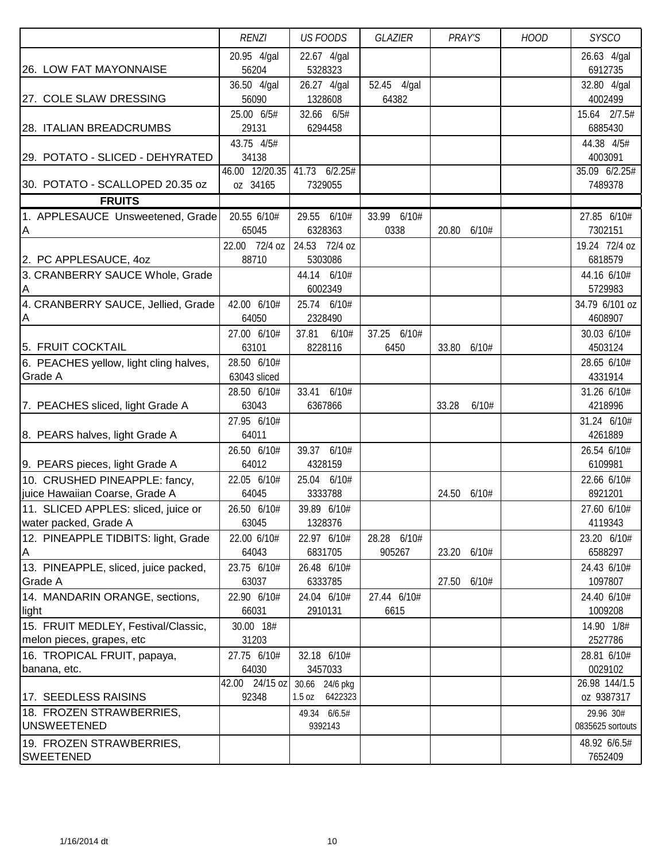|                                                          | <b>RENZI</b>                          | <b>US FOODS</b>                  | GLAZIER               | PRAY'S         | <b>HOOD</b> | <b>SYSCO</b>                           |
|----------------------------------------------------------|---------------------------------------|----------------------------------|-----------------------|----------------|-------------|----------------------------------------|
| 26. LOW FAT MAYONNAISE                                   | 20.95 4/gal<br>56204                  | 22.67 4/gal<br>5328323           |                       |                |             | 26.63 4/gal<br>6912735                 |
| 27. COLE SLAW DRESSING                                   | 36.50 4/gal<br>56090                  | 26.27 4/gal<br>1328608           | 52.45 4/gal<br>64382  |                |             | 32.80 4/gal<br>4002499                 |
|                                                          | 25.00 6/5#                            | 32.66 6/5#                       |                       |                |             | 15.64 2/7.5#                           |
| 28. ITALIAN BREADCRUMBS                                  | 29131                                 | 6294458                          |                       |                |             | 6885430                                |
| 29. POTATO - SLICED - DEHYRATED                          | 43.75 4/5#<br>34138<br>46.00 12/20.35 | 41.73 6/2.25#                    |                       |                |             | 44.38 4/5#<br>4003091<br>35.09 6/2.25# |
| 30. POTATO - SCALLOPED 20.35 oz                          | oz 34165                              | 7329055                          |                       |                |             | 7489378                                |
| <b>FRUITS</b>                                            |                                       |                                  |                       |                |             |                                        |
| 1. APPLESAUCE Unsweetened, Grade<br>ΙA                   | 20.55 6/10#<br>65045                  | 29.55 6/10#<br>6328363           | 33.99 6/10#<br>0338   | 20.80 6/10#    |             | 27.85 6/10#<br>7302151                 |
|                                                          | 22.00 72/4 oz                         | 24.53 72/4 oz<br>5303086         |                       |                |             | 19.24 72/4 oz                          |
| 2. PC APPLESAUCE, 40Z<br>3. CRANBERRY SAUCE Whole, Grade | 88710                                 | 44.14 6/10#                      |                       |                |             | 6818579<br>44.16 6/10#                 |
| A                                                        |                                       | 6002349                          |                       |                |             | 5729983                                |
| 4. CRANBERRY SAUCE, Jellied, Grade                       | 42.00 6/10#                           | 25.74 6/10#                      |                       |                |             | 34.79 6/101 oz                         |
| A                                                        | 64050                                 | 2328490                          |                       |                |             | 4608907                                |
|                                                          | 27.00 6/10#                           | 37.81 6/10#                      | 37.25 6/10#           |                |             | 30.03 6/10#                            |
| 5. FRUIT COCKTAIL                                        | 63101                                 | 8228116                          | 6450                  | 33.80 6/10#    |             | 4503124                                |
| 6. PEACHES yellow, light cling halves,                   | 28.50 6/10#                           |                                  |                       |                |             | 28.65 6/10#                            |
| <b>Grade A</b>                                           | 63043 sliced<br>28.50 6/10#           | 33.41 6/10#                      |                       |                |             | 4331914<br>31.26 6/10#                 |
| 7. PEACHES sliced, light Grade A                         | 63043                                 | 6367866                          |                       | 33.28<br>6/10# |             | 4218996                                |
|                                                          | 27.95 6/10#                           |                                  |                       |                |             | 31.24 6/10#                            |
| 8. PEARS halves, light Grade A                           | 64011                                 |                                  |                       |                |             | 4261889                                |
|                                                          | 26.50 6/10#                           | 39.37 6/10#                      |                       |                |             | 26.54 6/10#                            |
| 9. PEARS pieces, light Grade A                           | 64012                                 | 4328159                          |                       |                |             | 6109981                                |
| 10. CRUSHED PINEAPPLE: fancy,                            | 22.05 6/10#                           | 25.04 6/10#                      |                       |                |             | 22.66 6/10#                            |
| juice Hawaiian Coarse, Grade A                           | 64045                                 | 3333788                          |                       | 24.50<br>6/10# |             | 8921201                                |
| 11. SLICED APPLES: sliced, juice or                      | 26.50 6/10#                           | 39.89 6/10#                      |                       |                |             | 27.60 6/10#                            |
| water packed, Grade A                                    | 63045                                 | 1328376                          |                       |                |             | 4119343                                |
| 12. PINEAPPLE TIDBITS: light, Grade<br>ΙA                | 22.00 6/10#<br>64043                  | 22.97 6/10#<br>6831705           | 28.28 6/10#<br>905267 | 23.20 6/10#    |             | 23.20 6/10#<br>6588297                 |
| 13. PINEAPPLE, sliced, juice packed,                     | 23.75 6/10#                           | 26.48 6/10#                      |                       |                |             | 24.43 6/10#                            |
| Grade A                                                  | 63037                                 | 6333785                          |                       | 27.50 6/10#    |             | 1097807                                |
| 14. MANDARIN ORANGE, sections,<br>light                  | 22.90 6/10#<br>66031                  | 24.04 6/10#<br>2910131           | 27.44 6/10#<br>6615   |                |             | 24.40 6/10#<br>1009208                 |
| 15. FRUIT MEDLEY, Festival/Classic,                      | 30.00 18#                             |                                  |                       |                |             | 14.90 1/8#                             |
| melon pieces, grapes, etc                                | 31203                                 |                                  |                       |                |             | 2527786                                |
| 16. TROPICAL FRUIT, papaya,                              | 27.75 6/10#                           | 32.18 6/10#                      |                       |                |             | 28.81 6/10#                            |
| banana, etc.                                             | 64030<br>42.00 24/15 oz               | 3457033                          |                       |                |             | 0029102<br>26.98 144/1.5               |
| 17. SEEDLESS RAISINS                                     | 92348                                 | 30.66 24/6 pkg<br>1.5 oz 6422323 |                       |                |             | oz 9387317                             |
| 18. FROZEN STRAWBERRIES,                                 |                                       | 49.34 6/6.5#                     |                       |                |             | 29.96 30#                              |
| <b>UNSWEETENED</b>                                       |                                       | 9392143                          |                       |                |             | 0835625 sortouts                       |
| 19. FROZEN STRAWBERRIES,                                 |                                       |                                  |                       |                |             | 48.92 6/6.5#                           |
| <b>SWEETENED</b>                                         |                                       |                                  |                       |                |             | 7652409                                |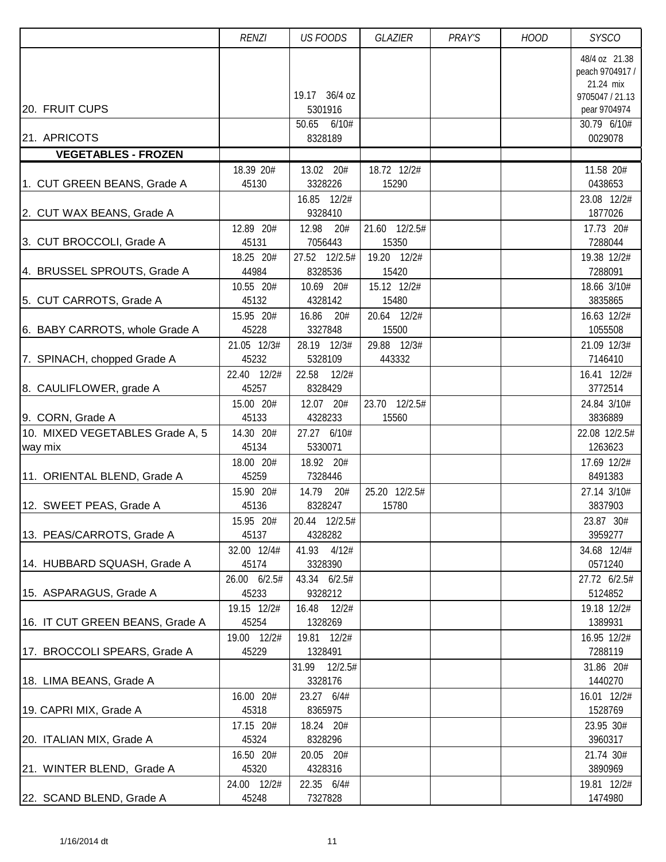|                                            | <b>RENZI</b>          | <b>US FOODS</b>           | <b>GLAZIER</b>         | PRAY'S | <b>HOOD</b> | <b>SYSCO</b>                                                                     |
|--------------------------------------------|-----------------------|---------------------------|------------------------|--------|-------------|----------------------------------------------------------------------------------|
| 20. FRUIT CUPS                             |                       | 19.17 36/4 oz<br>5301916  |                        |        |             | 48/4 oz 21.38<br>peach 9704917 /<br>21.24 mix<br>9705047 / 21.13<br>pear 9704974 |
|                                            |                       | 50.65<br>6/10#            |                        |        |             | 30.79 6/10#                                                                      |
| 21. APRICOTS<br><b>VEGETABLES - FROZEN</b> |                       | 8328189                   |                        |        |             | 0029078                                                                          |
|                                            | 18.39 20#             | 13.02 20#                 | 18.72 12/2#            |        |             | 11.58 20#                                                                        |
| 1. CUT GREEN BEANS, Grade A                | 45130                 | 3328226                   | 15290                  |        |             | 0438653                                                                          |
| 2. CUT WAX BEANS, Grade A                  |                       | 16.85 12/2#<br>9328410    |                        |        |             | 23.08 12/2#<br>1877026                                                           |
| 3. CUT BROCCOLI, Grade A                   | 12.89 20#<br>45131    | 12.98<br>20#<br>7056443   | 21.60 12/2.5#<br>15350 |        |             | 17.73 20#<br>7288044                                                             |
| 4. BRUSSEL SPROUTS, Grade A                | 18.25 20#<br>44984    | 27.52 12/2.5#<br>8328536  | 19.20 12/2#<br>15420   |        |             | 19.38 12/2#<br>7288091                                                           |
| 5. CUT CARROTS, Grade A                    | 10.55 20#<br>45132    | 10.69 20#<br>4328142      | 15.12 12/2#<br>15480   |        |             | 18.66 3/10#<br>3835865                                                           |
| 6. BABY CARROTS, whole Grade A             | 15.95 20#<br>45228    | 16.86<br>20#<br>3327848   | 20.64 12/2#<br>15500   |        |             | 16.63 12/2#<br>1055508                                                           |
| 7. SPINACH, chopped Grade A                | 21.05 12/3#<br>45232  | 28.19 12/3#<br>5328109    | 29.88 12/3#<br>443332  |        |             | 21.09 12/3#<br>7146410                                                           |
| 8. CAULIFLOWER, grade A                    | 22.40 12/2#<br>45257  | 22.58<br>12/2#<br>8328429 |                        |        |             | 16.41 12/2#<br>3772514                                                           |
| 9. CORN, Grade A                           | 15.00 20#<br>45133    | 12.07 20#<br>4328233      | 23.70 12/2.5#<br>15560 |        |             | 24.84 3/10#<br>3836889                                                           |
| 10. MIXED VEGETABLES Grade A, 5<br>way mix | 14.30 20#<br>45134    | 27.27 6/10#<br>5330071    |                        |        |             | 22.08 12/2.5#<br>1263623                                                         |
| 11. ORIENTAL BLEND, Grade A                | 18.00 20#<br>45259    | 18.92 20#<br>7328446      |                        |        |             | 17.69 12/2#<br>8491383                                                           |
| 12. SWEET PEAS, Grade A                    | 15.90 20#<br>45136    | 14.79 20#<br>8328247      | 25.20 12/2.5#<br>15780 |        |             | 27.14 3/10#<br>3837903                                                           |
| 13. PEAS/CARROTS, Grade A                  | 15.95 20#<br>45137    | 20.44 12/2.5#<br>4328282  |                        |        |             | 23.87 30#<br>3959277                                                             |
| 14. HUBBARD SQUASH, Grade A                | 32.00 12/4#<br>45174  | 41.93 4/12#<br>3328390    |                        |        |             | 34.68 12/4#<br>0571240                                                           |
| 15. ASPARAGUS, Grade A                     | 26.00 6/2.5#<br>45233 | 43.34 6/2.5#<br>9328212   |                        |        |             | 27.72 6/2.5#<br>5124852                                                          |
| 16. IT CUT GREEN BEANS, Grade A            | 19.15 12/2#<br>45254  | 16.48 12/2#<br>1328269    |                        |        |             | 19.18 12/2#<br>1389931                                                           |
| 17. BROCCOLI SPEARS, Grade A               | 19.00 12/2#<br>45229  | 19.81 12/2#<br>1328491    |                        |        |             | 16.95 12/2#<br>7288119                                                           |
| 18. LIMA BEANS, Grade A                    |                       | 31.99 12/2.5#<br>3328176  |                        |        |             | 31.86 20#<br>1440270                                                             |
| 19. CAPRI MIX, Grade A                     | 16.00 20#<br>45318    | 23.27 6/4#<br>8365975     |                        |        |             | 16.01 12/2#<br>1528769                                                           |
| 20. ITALIAN MIX, Grade A                   | 17.15 20#<br>45324    | 18.24 20#<br>8328296      |                        |        |             | 23.95 30#<br>3960317                                                             |
| 21. WINTER BLEND, Grade A                  | 16.50 20#<br>45320    | 20.05 20#<br>4328316      |                        |        |             | 21.74 30#<br>3890969                                                             |
| 22. SCAND BLEND, Grade A                   | 24.00 12/2#<br>45248  | 22.35 6/4#<br>7327828     |                        |        |             | 19.81 12/2#<br>1474980                                                           |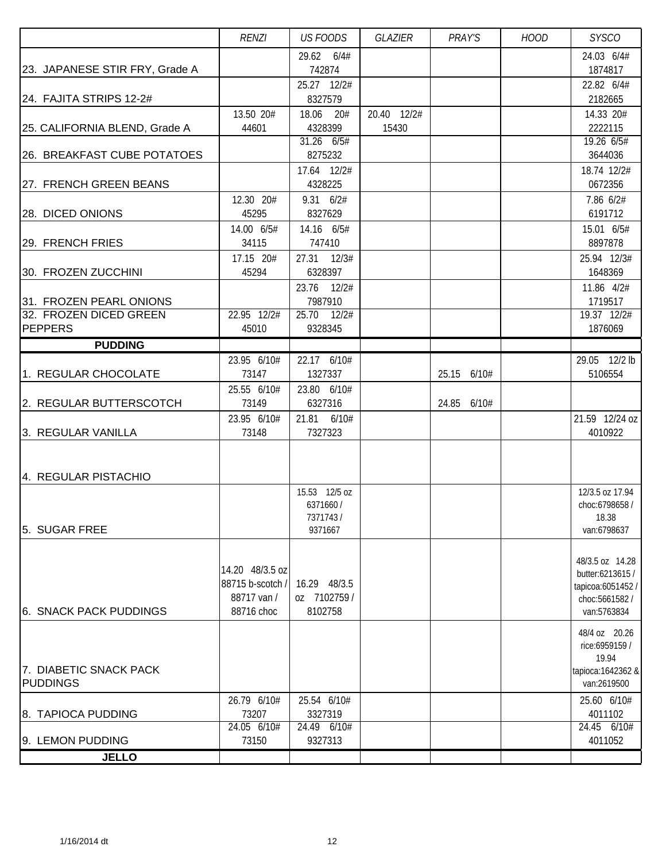|                                | <b>RENZI</b>       | <b>US FOODS</b>            | GLAZIER              | PRAY'S      | <b>HOOD</b> | <b>SYSCO</b>                      |
|--------------------------------|--------------------|----------------------------|----------------------|-------------|-------------|-----------------------------------|
|                                |                    | 29.62 6/4#                 |                      |             |             | 24.03 6/4#                        |
| 23. JAPANESE STIR FRY, Grade A |                    | 742874                     |                      |             |             | 1874817                           |
|                                |                    | 25.27 12/2#                |                      |             |             | 22.82 6/4#                        |
| 24. FAJITA STRIPS 12-2#        |                    | 8327579                    |                      |             |             | 2182665                           |
|                                | 13.50 20#<br>44601 | 18.06 20#<br>4328399       | 20.40 12/2#<br>15430 |             |             | 14.33 20#<br>2222115              |
| 25. CALIFORNIA BLEND, Grade A  |                    | 31.26 6/5#                 |                      |             |             | 19.26 6/5#                        |
| 26. BREAKFAST CUBE POTATOES    |                    | 8275232                    |                      |             |             | 3644036                           |
|                                |                    | 17.64 12/2#                |                      |             |             | 18.74 12/2#                       |
| 27. FRENCH GREEN BEANS         |                    | 4328225                    |                      |             |             | 0672356                           |
|                                | 12.30 20#          | $9.31 \t 6/2#$             |                      |             |             | 7.86 6/2#                         |
| 28. DICED ONIONS               | 45295              | 8327629                    |                      |             |             | 6191712                           |
|                                | 14.00 6/5#         | 14.16 6/5#                 |                      |             |             | 15.01 6/5#                        |
| 29. FRENCH FRIES               | 34115              | 747410                     |                      |             |             | 8897878                           |
|                                | 17.15 20#          | 27.31 12/3#                |                      |             |             | 25.94 12/3#                       |
| 30. FROZEN ZUCCHINI            | 45294              | 6328397                    |                      |             |             | 1648369                           |
|                                |                    | 23.76 12/2#                |                      |             |             | 11.86 4/2#                        |
| 31. FROZEN PEARL ONIONS        |                    | 7987910                    |                      |             |             | 1719517                           |
| 32. FROZEN DICED GREEN         | 22.95 12/2#        | 25.70 12/2#                |                      |             |             | 19.37 12/2#                       |
| <b>PEPPERS</b>                 | 45010              | 9328345                    |                      |             |             | 1876069                           |
| <b>PUDDING</b>                 |                    |                            |                      |             |             |                                   |
|                                | 23.95 6/10#        | 22.17 6/10#                |                      |             |             | 29.05 12/2 lb                     |
| 1. REGULAR CHOCOLATE           | 73147              | 1327337                    |                      | 25.15 6/10# |             | 5106554                           |
|                                | 25.55 6/10#        | 23.80 6/10#                |                      |             |             |                                   |
| 2. REGULAR BUTTERSCOTCH        | 73149              | 6327316                    |                      | 24.85 6/10# |             |                                   |
|                                | 23.95 6/10#        | 21.81 6/10#                |                      |             |             | 21.59 12/24 oz                    |
| 3. REGULAR VANILLA             | 73148              | 7327323                    |                      |             |             | 4010922                           |
|                                |                    |                            |                      |             |             |                                   |
|                                |                    |                            |                      |             |             |                                   |
| 4. REGULAR PISTACHIO           |                    |                            |                      |             |             |                                   |
|                                |                    | 15.53 12/5 oz<br>6371660 / |                      |             |             | 12/3.5 oz 17.94<br>choc:6798658 / |
|                                |                    | 7371743/                   |                      |             |             | 18.38                             |
| 5. SUGAR FREE                  |                    | 9371667                    |                      |             |             | van:6798637                       |
|                                |                    |                            |                      |             |             |                                   |
|                                |                    |                            |                      |             |             | 48/3.5 oz 14.28                   |
|                                | 14.20 48/3.5 oz    |                            |                      |             |             | butter:6213615 /                  |
|                                | 88715 b-scotch /   | 16.29 48/3.5               |                      |             |             | tapicoa:6051452 /                 |
|                                | 88717 van /        | oz 7102759/                |                      |             |             | choc:5661582/                     |
| 6. SNACK PACK PUDDINGS         | 88716 choc         | 8102758                    |                      |             |             | van:5763834                       |
|                                |                    |                            |                      |             |             | 48/4 oz 20.26                     |
|                                |                    |                            |                      |             |             | rice:6959159 /                    |
| 7. DIABETIC SNACK PACK         |                    |                            |                      |             |             | 19.94<br>tapioca: 1642362 &       |
| PUDDINGS                       |                    |                            |                      |             |             | van:2619500                       |
|                                | 26.79 6/10#        | 25.54 6/10#                |                      |             |             | 25.60 6/10#                       |
| 8. TAPIOCA PUDDING             | 73207              | 3327319                    |                      |             |             | 4011102                           |
|                                | 24.05 6/10#        | 24.49 6/10#                |                      |             |             | 24.45 6/10#                       |
| 9. LEMON PUDDING               | 73150              | 9327313                    |                      |             |             | 4011052                           |
| <b>JELLO</b>                   |                    |                            |                      |             |             |                                   |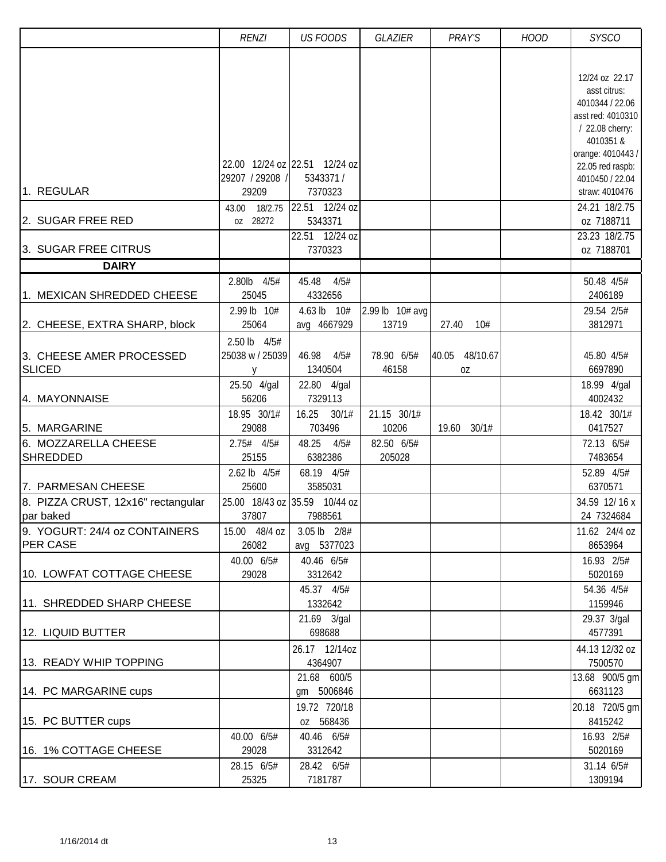|                                                                       | <b>RENZI</b>                                             | <b>US FOODS</b>                                                                                                | <b>GLAZIER</b>           | PRAY'S               | <b>HOOD</b> | <b>SYSCO</b>                                                                                                                                                                                                                                       |
|-----------------------------------------------------------------------|----------------------------------------------------------|----------------------------------------------------------------------------------------------------------------|--------------------------|----------------------|-------------|----------------------------------------------------------------------------------------------------------------------------------------------------------------------------------------------------------------------------------------------------|
| 1. REGULAR<br>2. SUGAR FREE RED<br>3. SUGAR FREE CITRUS               | 29207 / 29208 /<br>29209<br>18/2.75<br>43.00<br>oz 28272 | 22.00 12/24 oz 22.51 12/24 oz<br>5343371/<br>7370323<br>22.51 12/24 oz<br>5343371<br>22.51 12/24 oz<br>7370323 |                          |                      |             | 12/24 oz 22.17<br>asst citrus:<br>4010344 / 22.06<br>asst red: 4010310<br>/ 22.08 cherry:<br>4010351 &<br>orange: 4010443 /<br>22.05 red raspb:<br>4010450 / 22.04<br>straw: 4010476<br>24.21 18/2.75<br>oz 7188711<br>23.23 18/2.75<br>oz 7188701 |
| <b>DAIRY</b>                                                          |                                                          |                                                                                                                |                          |                      |             |                                                                                                                                                                                                                                                    |
|                                                                       | 2.80lb 4/5#                                              | 45.48<br>4/5#                                                                                                  |                          |                      |             | 50.48 4/5#                                                                                                                                                                                                                                         |
| 1. MEXICAN SHREDDED CHEESE                                            | 25045                                                    | 4332656                                                                                                        |                          |                      |             | 2406189                                                                                                                                                                                                                                            |
| 2. CHEESE, EXTRA SHARP, block                                         | 2.99 lb 10#<br>25064                                     | 4.63 lb 10#<br>avg 4667929                                                                                     | 2.99 lb 10# avg<br>13719 | 10#<br>27.40         |             | 29.54 2/5#<br>3812971                                                                                                                                                                                                                              |
| 3. CHEESE AMER PROCESSED<br><b>SLICED</b>                             | 2.50 lb 4/5#<br>25038 w / 25039<br><b>V</b>              | 46.98<br>4/5#<br>1340504                                                                                       | 78.90 6/5#<br>46158      | 40.05 48/10.67<br>0Z |             | 45.80 4/5#<br>6697890                                                                                                                                                                                                                              |
| 4. MAYONNAISE                                                         | 25.50 4/gal<br>56206<br>18.95 30/1#                      | 22.80 4/gal<br>7329113<br>16.25<br>30/1#                                                                       | 21.15 30/1#              |                      |             | 18.99 4/gal<br>4002432<br>18.42 30/1#                                                                                                                                                                                                              |
| 5. MARGARINE                                                          | 29088                                                    | 703496                                                                                                         | 10206                    | 19.60 30/1#          |             | 0417527                                                                                                                                                                                                                                            |
| 6. MOZZARELLA CHEESE<br><b>SHREDDED</b>                               | $2.75#$ 4/5#<br>25155                                    | 48.25<br>4/5#<br>6382386                                                                                       | 82.50 6/5#<br>205028     |                      |             | 72.13 6/5#<br>7483654                                                                                                                                                                                                                              |
| 7. PARMESAN CHEESE<br>8. PIZZA CRUST, 12x16" rectangular<br>par baked | 2.62 lb 4/5#<br>25600<br>37807                           | 68.19 4/5#<br>3585031<br>25.00 18/43 oz 35.59 10/44 oz<br>7988561                                              |                          |                      |             | 52.89 4/5#<br>6370571<br>34.59 12/16 x<br>24 7324684                                                                                                                                                                                               |
| 9. YOGURT: 24/4 oz CONTAINERS                                         | 15.00 48/4 oz                                            | 3.05 lb 2/8#                                                                                                   |                          |                      |             | 11.62 24/4 oz                                                                                                                                                                                                                                      |
| <b>PER CASE</b>                                                       | 26082                                                    | avg 5377023                                                                                                    |                          |                      |             | 8653964                                                                                                                                                                                                                                            |
| 10. LOWFAT COTTAGE CHEESE<br>11. SHREDDED SHARP CHEESE                | 40.00 6/5#<br>29028                                      | 40.46 6/5#<br>3312642<br>45.37 4/5#<br>1332642                                                                 |                          |                      |             | 16.93 2/5#<br>5020169<br>54.36 4/5#<br>1159946                                                                                                                                                                                                     |
| 12. LIQUID BUTTER                                                     |                                                          | 21.69 3/gal<br>698688                                                                                          |                          |                      |             | 29.37 3/gal<br>4577391                                                                                                                                                                                                                             |
| 13. READY WHIP TOPPING                                                |                                                          | 26.17 12/14oz<br>4364907                                                                                       |                          |                      |             | 44.13 12/32 oz<br>7500570                                                                                                                                                                                                                          |
| 14. PC MARGARINE cups                                                 |                                                          | 21.68 600/5<br>gm 5006846                                                                                      |                          |                      |             | 13.68 900/5 gm<br>6631123                                                                                                                                                                                                                          |
| 15. PC BUTTER cups                                                    |                                                          | 19.72 720/18<br>oz 568436                                                                                      |                          |                      |             | 20.18 720/5 gm<br>8415242                                                                                                                                                                                                                          |
| 16. 1% COTTAGE CHEESE                                                 | 40.00 6/5#<br>29028                                      | 40.46 6/5#<br>3312642                                                                                          |                          |                      |             | 16.93 2/5#<br>5020169                                                                                                                                                                                                                              |
| 17. SOUR CREAM                                                        | 28.15 6/5#<br>25325                                      | 28.42 6/5#<br>7181787                                                                                          |                          |                      |             | 31.14 6/5#<br>1309194                                                                                                                                                                                                                              |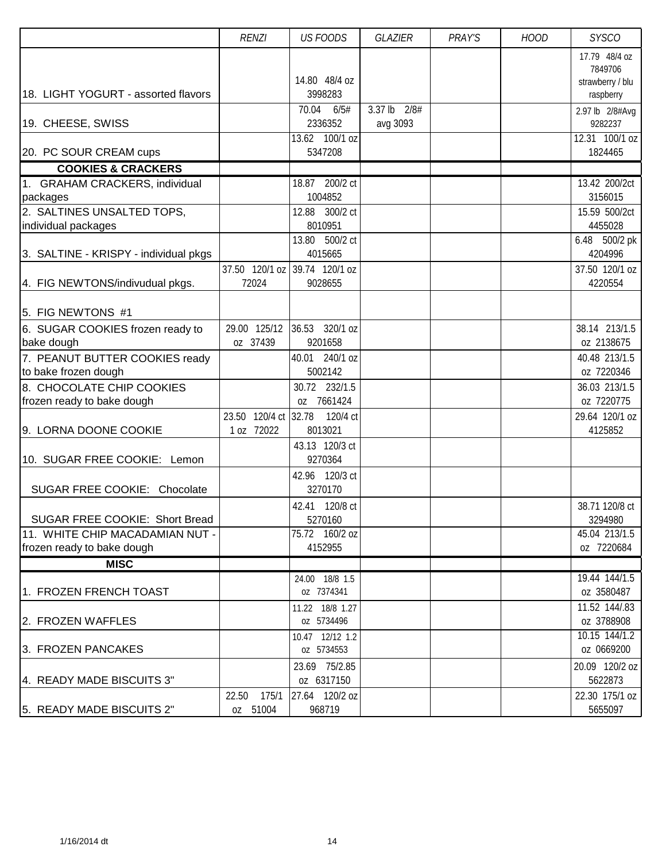|                                                        | <b>RENZI</b>                       | <b>US FOODS</b>                        | <b>GLAZIER</b>                | PRAY'S | <b>HOOD</b> | <b>SYSCO</b>                  |
|--------------------------------------------------------|------------------------------------|----------------------------------------|-------------------------------|--------|-------------|-------------------------------|
|                                                        |                                    |                                        |                               |        |             | 17.79 48/4 oz<br>7849706      |
| 18. LIGHT YOGURT - assorted flavors                    |                                    | 14.80 48/4 oz<br>3998283               |                               |        |             | strawberry / blu<br>raspberry |
| 19. CHEESE, SWISS                                      |                                    | 70.04<br>6/5#<br>2336352               | $3.37$ lb<br>2/8#<br>avg 3093 |        |             | 2.97 lb 2/8#Avg<br>9282237    |
| 20. PC SOUR CREAM cups                                 |                                    | $\overline{13.62}$ 100/1 oz<br>5347208 |                               |        |             | 12.31 100/1 oz<br>1824465     |
| <b>COOKIES &amp; CRACKERS</b>                          |                                    |                                        |                               |        |             |                               |
| 1. GRAHAM CRACKERS, individual                         |                                    | 18.87 200/2 ct                         |                               |        |             | 13.42 200/2ct                 |
| packages                                               |                                    | 1004852                                |                               |        |             | 3156015                       |
| 2. SALTINES UNSALTED TOPS,                             |                                    | 12.88 300/2 ct                         |                               |        |             | 15.59 500/2ct                 |
| individual packages                                    |                                    | 8010951                                |                               |        |             | 4455028                       |
| 3. SALTINE - KRISPY - individual pkgs                  |                                    | 13.80 500/2 ct<br>4015665              |                               |        |             | 6.48 500/2 pk<br>4204996      |
|                                                        |                                    | 37.50 120/1 oz 39.74 120/1 oz          |                               |        |             | 37.50 120/1 oz                |
| 4. FIG NEWTONS/indivudual pkgs.                        | 72024                              | 9028655                                |                               |        |             | 4220554                       |
| 5. FIG NEWTONS #1                                      |                                    |                                        |                               |        |             |                               |
| 6. SUGAR COOKIES frozen ready to                       | 29.00 125/12                       | 36.53 320/1 oz                         |                               |        |             | 38.14 213/1.5                 |
| bake dough                                             | oz 37439                           | 9201658                                |                               |        |             | oz 2138675                    |
| 7. PEANUT BUTTER COOKIES ready<br>to bake frozen dough |                                    | 40.01 240/1 oz<br>5002142              |                               |        |             | 40.48 213/1.5<br>oz 7220346   |
| 8. CHOCOLATE CHIP COOKIES                              |                                    | 30.72 232/1.5<br>oz 7661424            |                               |        |             | 36.03 213/1.5                 |
| frozen ready to bake dough                             |                                    | 120/4 ct                               |                               |        |             | oz 7220775                    |
| 9. LORNA DOONE COOKIE                                  | 23.50 120/4 ct 32.78<br>1 oz 72022 | 8013021                                |                               |        |             | 29.64 120/1 oz<br>4125852     |
| 10. SUGAR FREE COOKIE: Lemon                           |                                    | 43.13 120/3 ct<br>9270364              |                               |        |             |                               |
| SUGAR FREE COOKIE: Chocolate                           |                                    | 42.96 120/3 ct<br>3270170              |                               |        |             |                               |
|                                                        |                                    | 42.41 120/8 ct                         |                               |        |             | 38.71 120/8 ct                |
| SUGAR FREE COOKIE: Short Bread                         |                                    | 5270160                                |                               |        |             | 3294980                       |
| 11. WHITE CHIP MACADAMIAN NUT -                        |                                    | 75.72 160/2 oz                         |                               |        |             | 45.04 213/1.5                 |
| frozen ready to bake dough                             |                                    | 4152955                                |                               |        |             | oz 7220684                    |
| <b>MISC</b>                                            |                                    |                                        |                               |        |             |                               |
| 1. FROZEN FRENCH TOAST                                 |                                    | 24.00 18/8 1.5<br>oz 7374341           |                               |        |             | 19.44 144/1.5<br>oz 3580487   |
|                                                        |                                    | 11.22 18/8 1.27                        |                               |        |             | 11.52 144/.83                 |
| 2. FROZEN WAFFLES                                      |                                    | oz 5734496                             |                               |        |             | oz 3788908                    |
|                                                        |                                    | 10.47 12/12 1.2                        |                               |        |             | 10.15 144/1.2                 |
| 3. FROZEN PANCAKES                                     |                                    | oz 5734553                             |                               |        |             | oz 0669200                    |
|                                                        |                                    | 23.69 75/2.85                          |                               |        |             | 20.09 120/2 oz                |
| 4. READY MADE BISCUITS 3"                              |                                    | oz 6317150                             |                               |        |             | 5622873                       |
| 5. READY MADE BISCUITS 2"                              | 22.50<br>175/1<br>oz 51004         | 27.64 120/2 oz<br>968719               |                               |        |             | 22.30 175/1 oz<br>5655097     |
|                                                        |                                    |                                        |                               |        |             |                               |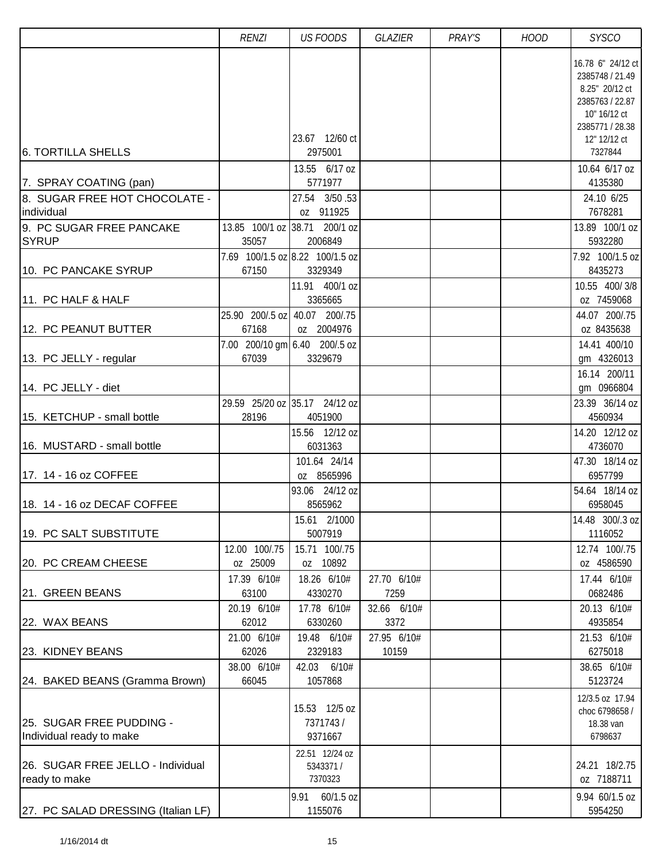|                                                      | <b>RENZI</b>              | <b>US FOODS</b>                                              | GLAZIER              | PRAY'S | <b>HOOD</b> | <b>SYSCO</b>                                                                                                                 |
|------------------------------------------------------|---------------------------|--------------------------------------------------------------|----------------------|--------|-------------|------------------------------------------------------------------------------------------------------------------------------|
|                                                      |                           | 23.67 12/60 ct                                               |                      |        |             | 16.78 6" 24/12 ct<br>2385748 / 21.49<br>8.25" 20/12 ct<br>2385763 / 22.87<br>10" 16/12 ct<br>2385771 / 28.38<br>12" 12/12 ct |
| 6. TORTILLA SHELLS                                   |                           | 2975001                                                      |                      |        |             | 7327844                                                                                                                      |
| 7. SPRAY COATING (pan)                               |                           | 13.55 6/17 oz<br>5771977                                     |                      |        |             | 10.64 6/17 oz<br>4135380                                                                                                     |
| 8. SUGAR FREE HOT CHOCOLATE -<br>individual          |                           | 27.54 3/50.53<br>oz 911925                                   |                      |        |             | 24.10 6/25<br>7678281                                                                                                        |
| 9. PC SUGAR FREE PANCAKE<br><b>SYRUP</b>             | 35057                     | 13.85 100/1 oz 38.71 200/1 oz<br>2006849                     |                      |        |             | 13.89 100/1 oz<br>5932280                                                                                                    |
| 10. PC PANCAKE SYRUP                                 | 67150                     | 7.69 100/1.5 oz 8.22 100/1.5 oz<br>3329349<br>11.91 400/1 oz |                      |        |             | 7.92 100/1.5 oz<br>8435273<br>10.55 400/3/8                                                                                  |
| 11. PC HALF & HALF                                   |                           | 3365665                                                      |                      |        |             | oz 7459068                                                                                                                   |
| 12. PC PEANUT BUTTER                                 | 25.90 200/.5 oz<br>67168  | 40.07 200/.75<br>oz 2004976                                  |                      |        |             | 44.07 200/.75<br>oz 8435638                                                                                                  |
| 13. PC JELLY - regular                               | 67039                     | 7.00 200/10 gm 6.40 200/.5 oz<br>3329679                     |                      |        |             | 14.41 400/10<br>gm 4326013<br>16.14 200/11                                                                                   |
| 14. PC JELLY - diet                                  |                           |                                                              |                      |        |             | gm 0966804                                                                                                                   |
| 15. KETCHUP - small bottle                           | 28196                     | 29.59 25/20 oz 35.17 24/12 oz<br>4051900                     |                      |        |             | 23.39 36/14 oz<br>4560934                                                                                                    |
| 16. MUSTARD - small bottle                           |                           | 15.56 12/12 oz<br>6031363                                    |                      |        |             | 14.20 12/12 oz<br>4736070                                                                                                    |
| 17. 14 - 16 oz COFFEE                                |                           | 101.64 24/14<br>oz 8565996                                   |                      |        |             | 47.30 18/14 oz<br>6957799                                                                                                    |
| 18. 14 - 16 oz DECAF COFFEE                          |                           | 93.06 24/12 oz<br>8565962                                    |                      |        |             | 54.64 18/14 oz<br>6958045                                                                                                    |
| 19. PC SALT SUBSTITUTE                               |                           | 15.61 2/1000<br>5007919                                      |                      |        |             | 14.48 300/.3 oz<br>1116052                                                                                                   |
| 20. PC CREAM CHEESE                                  | 12.00 100/.75<br>oz 25009 | 15.71 100/.75<br>oz 10892                                    |                      |        |             | 12.74 100/.75<br>oz 4586590                                                                                                  |
| 21. GREEN BEANS                                      | 17.39 6/10#<br>63100      | 18.26 6/10#<br>4330270                                       | 27.70 6/10#<br>7259  |        |             | 17.44 6/10#<br>0682486                                                                                                       |
| 22. WAX BEANS                                        | 20.19 6/10#<br>62012      | 17.78 6/10#<br>6330260                                       | 32.66 6/10#<br>3372  |        |             | 20.13 6/10#<br>4935854                                                                                                       |
| 23. KIDNEY BEANS                                     | 21.00 6/10#<br>62026      | 19.48 6/10#<br>2329183                                       | 27.95 6/10#<br>10159 |        |             | 21.53 6/10#<br>6275018                                                                                                       |
| 24. BAKED BEANS (Gramma Brown)                       | 38.00 6/10#<br>66045      | 42.03 6/10#<br>1057868                                       |                      |        |             | 38.65 6/10#<br>5123724                                                                                                       |
| 25. SUGAR FREE PUDDING -<br>Individual ready to make |                           | 15.53 12/5 oz<br>7371743/<br>9371667                         |                      |        |             | 12/3.5 oz 17.94<br>choc 6798658 /<br>18.38 van<br>6798637                                                                    |
| 26. SUGAR FREE JELLO - Individual<br>ready to make   |                           | 22.51 12/24 oz<br>5343371 /<br>7370323                       |                      |        |             | 24.21 18/2.75<br>oz 7188711                                                                                                  |
| 27. PC SALAD DRESSING (Italian LF)                   |                           | 9.91 60/1.5 oz<br>1155076                                    |                      |        |             | 9.94 60/1.5 oz<br>5954250                                                                                                    |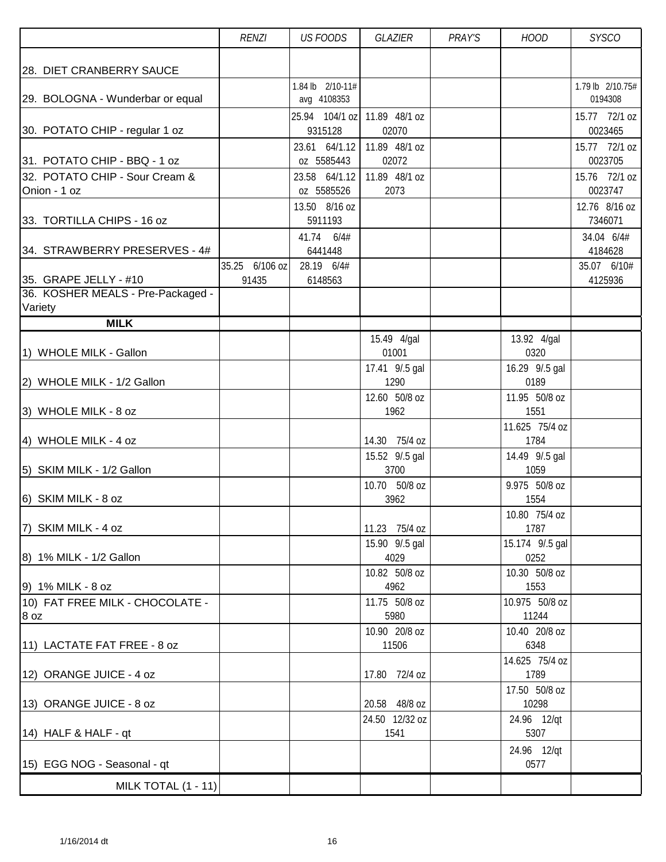|                                                      | <b>RENZI</b>   | <b>US FOODS</b>                 | GLAZIER                 | PRAY'S | <b>HOOD</b>            | <b>SYSCO</b>                |
|------------------------------------------------------|----------------|---------------------------------|-------------------------|--------|------------------------|-----------------------------|
|                                                      |                |                                 |                         |        |                        |                             |
| 28. DIET CRANBERRY SAUCE                             |                |                                 |                         |        |                        |                             |
| 29. BOLOGNA - Wunderbar or equal                     |                | 1.84 lb 2/10-11#<br>avg 4108353 |                         |        |                        | 1.79 lb 2/10.75#<br>0194308 |
|                                                      |                | 25.94 104/1 oz                  | 11.89 48/1 oz           |        |                        | 15.77 72/1 oz               |
| 30. POTATO CHIP - regular 1 oz                       |                | 9315128                         | 02070                   |        |                        | 0023465                     |
|                                                      |                | 23.61 64/1.12                   | 11.89 48/1 oz           |        |                        | 15.77 72/1 oz               |
| 31. POTATO CHIP - BBQ - 1 oz                         |                | oz 5585443                      | 02072                   |        |                        | 0023705                     |
| 32. POTATO CHIP - Sour Cream &                       |                | 23.58 64/1.12                   | 11.89 48/1 oz           |        |                        | 15.76 72/1 oz               |
| Onion - 1 oz                                         |                | oz 5585526                      | 2073                    |        |                        | 0023747                     |
|                                                      |                | 13.50 8/16 oz                   |                         |        |                        | 12.76 8/16 oz               |
| 33. TORTILLA CHIPS - 16 oz                           |                | 5911193                         |                         |        |                        | 7346071                     |
| 34. STRAWBERRY PRESERVES - 4#                        |                | 41.74 6/4#<br>6441448           |                         |        |                        | 34.04 6/4#<br>4184628       |
|                                                      | 35.25 6/106 oz | 28.19 6/4#                      |                         |        |                        | 35.07 6/10#                 |
| 35. GRAPE JELLY - #10                                | 91435          | 6148563                         |                         |        |                        | 4125936                     |
| 36. KOSHER MEALS - Pre-Packaged -                    |                |                                 |                         |        |                        |                             |
| Variety                                              |                |                                 |                         |        |                        |                             |
| <b>MILK</b>                                          |                |                                 |                         |        |                        |                             |
|                                                      |                |                                 | 15.49 4/gal             |        | 13.92 4/gal            |                             |
| 1) WHOLE MILK - Gallon                               |                |                                 | 01001<br>17.41 9/.5 gal |        | 0320<br>16.29 9/.5 gal |                             |
| 2) WHOLE MILK - 1/2 Gallon                           |                |                                 | 1290                    |        | 0189                   |                             |
|                                                      |                |                                 | 12.60 50/8 oz           |        | 11.95 50/8 oz          |                             |
| 3) WHOLE MILK - 8 oz                                 |                |                                 | 1962                    |        | 1551                   |                             |
|                                                      |                |                                 |                         |        | 11.625 75/4 oz         |                             |
| 4) WHOLE MILK - 4 oz                                 |                |                                 | 14.30 75/4 oz           |        | 1784                   |                             |
|                                                      |                |                                 | 15.52 9/.5 gal          |        | 14.49 9/.5 gal         |                             |
| 5) SKIM MILK - 1/2 Gallon                            |                |                                 | 3700<br>10.70 50/8 oz   |        | 1059<br>9.975 50/8 oz  |                             |
| 6) SKIM MILK - 8 oz                                  |                |                                 | 3962                    |        | 1554                   |                             |
|                                                      |                |                                 |                         |        | 10.80 75/4 oz          |                             |
| 7) SKIM MILK - 4 oz                                  |                |                                 | 11.23 75/4 oz           |        | 1787                   |                             |
|                                                      |                |                                 | 15.90 9/.5 gal          |        | 15.174 9/.5 gal        |                             |
| 8) 1% MILK - 1/2 Gallon                              |                |                                 | 4029                    |        | 0252                   |                             |
|                                                      |                |                                 | 10.82 50/8 oz           |        | 10.30 50/8 oz          |                             |
| 9) 1% MILK - 8 oz<br>10) FAT FREE MILK - CHOCOLATE - |                |                                 | 4962<br>11.75 50/8 oz   |        | 1553<br>10.975 50/8 oz |                             |
| 8 oz                                                 |                |                                 | 5980                    |        | 11244                  |                             |
|                                                      |                |                                 | 10.90 20/8 oz           |        | 10.40 20/8 oz          |                             |
| 11) LACTATE FAT FREE - 8 oz                          |                |                                 | 11506                   |        | 6348                   |                             |
|                                                      |                |                                 |                         |        | 14.625 75/4 oz         |                             |
| 12) ORANGE JUICE - 4 oz                              |                |                                 | 17.80 72/4 oz           |        | 1789                   |                             |
|                                                      |                |                                 | 20.58 48/8 oz           |        | 17.50 50/8 oz<br>10298 |                             |
| 13) ORANGE JUICE - 8 oz                              |                |                                 | 24.50 12/32 oz          |        | 24.96 12/qt            |                             |
| 14) HALF & HALF - qt                                 |                |                                 | 1541                    |        | 5307                   |                             |
|                                                      |                |                                 |                         |        | 24.96 12/qt            |                             |
| 15) EGG NOG - Seasonal - qt                          |                |                                 |                         |        | 0577                   |                             |
| MILK TOTAL (1 - 11)                                  |                |                                 |                         |        |                        |                             |